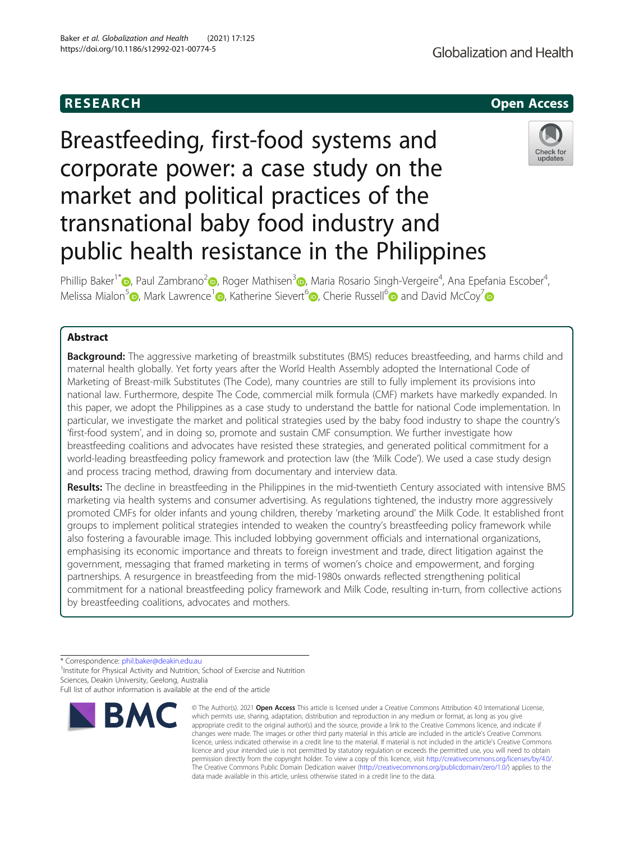# Breastfeeding, first-food systems and corporate power: a case study on the market and political practices of the transnational baby food industry and public health resistance in the Philippines

Phillip Baker<sup>1\*</sup>®[,](https://orcid.org/0000-0002-0802-2349) Paul Zambrano<sup>[2](https://orcid.org/0000-0002-9372-423X)</sup>®, Roger Mathisen<sup>[3](https://orcid.org/0000-0002-4475-8716)</sup>®, Maria Rosario Singh-Vergeire<sup>4</sup>, Ana Epefania Escober<sup>4</sup> , Melissa Mialon<sup>[5](https://orcid.org/0000-0002-9883-6441)</sup> , Mark Lawrence<sup>[1](https://orcid.org/0000-0001-6899-3983)</sup> [,](https://orcid.org/0000-0003-4617-8034) Katherine Sievert<sup>6</sup> , Cherie Russell<sup>6</sup> and David McCoy<sup>[7](https://orcid.org/0000-0001-7305-8594)</sup> and David McCoy<sup>7</sup>

## Abstract

**Background:** The aggressive marketing of breastmilk substitutes (BMS) reduces breastfeeding, and harms child and maternal health globally. Yet forty years after the World Health Assembly adopted the International Code of Marketing of Breast-milk Substitutes (The Code), many countries are still to fully implement its provisions into national law. Furthermore, despite The Code, commercial milk formula (CMF) markets have markedly expanded. In this paper, we adopt the Philippines as a case study to understand the battle for national Code implementation. In particular, we investigate the market and political strategies used by the baby food industry to shape the country's 'first-food system', and in doing so, promote and sustain CMF consumption. We further investigate how breastfeeding coalitions and advocates have resisted these strategies, and generated political commitment for a world-leading breastfeeding policy framework and protection law (the 'Milk Code'). We used a case study design and process tracing method, drawing from documentary and interview data.

Results: The decline in breastfeeding in the Philippines in the mid-twentieth Century associated with intensive BMS marketing via health systems and consumer advertising. As regulations tightened, the industry more aggressively promoted CMFs for older infants and young children, thereby 'marketing around' the Milk Code. It established front groups to implement political strategies intended to weaken the country's breastfeeding policy framework while also fostering a favourable image. This included lobbying government officials and international organizations, emphasising its economic importance and threats to foreign investment and trade, direct litigation against the government, messaging that framed marketing in terms of women's choice and empowerment, and forging partnerships. A resurgence in breastfeeding from the mid-1980s onwards reflected strengthening political commitment for a national breastfeeding policy framework and Milk Code, resulting in-turn, from collective actions by breastfeeding coalitions, advocates and mothers.

\* Correspondence: [phil.baker@deakin.edu.au](mailto:phil.baker@deakin.edu.au) <sup>1</sup>

<sup>1</sup> Institute for Physical Activity and Nutrition, School of Exercise and Nutrition Sciences, Deakin University, Geelong, Australia



which permits use, sharing, adaptation, distribution and reproduction in any medium or format, as long as you give appropriate credit to the original author(s) and the source, provide a link to the Creative Commons licence, and indicate if changes were made. The images or other third party material in this article are included in the article's Creative Commons licence, unless indicated otherwise in a credit line to the material. If material is not included in the article's Creative Commons licence and your intended use is not permitted by statutory regulation or exceeds the permitted use, you will need to obtain permission directly from the copyright holder. To view a copy of this licence, visit [http://creativecommons.org/licenses/by/4.0/.](http://creativecommons.org/licenses/by/4.0/) The Creative Commons Public Domain Dedication waiver [\(http://creativecommons.org/publicdomain/zero/1.0/](http://creativecommons.org/publicdomain/zero/1.0/)) applies to the data made available in this article, unless otherwise stated in a credit line to the data.

© The Author(s), 2021 **Open Access** This article is licensed under a Creative Commons Attribution 4.0 International License,





Full list of author information is available at the end of the article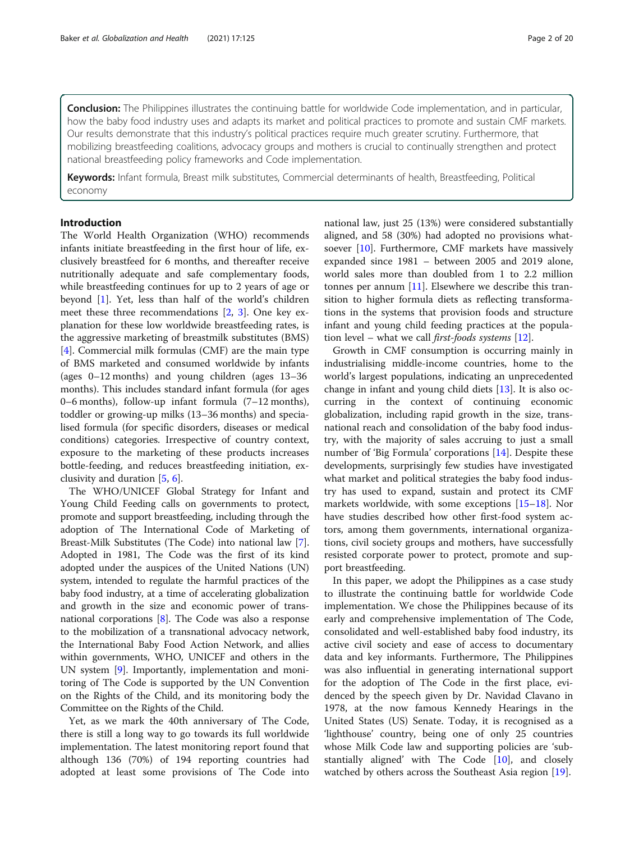**Conclusion:** The Philippines illustrates the continuing battle for worldwide Code implementation, and in particular, how the baby food industry uses and adapts its market and political practices to promote and sustain CMF markets. Our results demonstrate that this industry's political practices require much greater scrutiny. Furthermore, that mobilizing breastfeeding coalitions, advocacy groups and mothers is crucial to continually strengthen and protect national breastfeeding policy frameworks and Code implementation.

Keywords: Infant formula, Breast milk substitutes, Commercial determinants of health, Breastfeeding, Political economy

#### Introduction

The World Health Organization (WHO) recommends infants initiate breastfeeding in the first hour of life, exclusively breastfeed for 6 months, and thereafter receive nutritionally adequate and safe complementary foods, while breastfeeding continues for up to 2 years of age or beyond [\[1](#page-16-0)]. Yet, less than half of the world's children meet these three recommendations [\[2](#page-16-0), [3\]](#page-16-0). One key explanation for these low worldwide breastfeeding rates, is the aggressive marketing of breastmilk substitutes (BMS) [[4\]](#page-16-0). Commercial milk formulas (CMF) are the main type of BMS marketed and consumed worldwide by infants (ages 0–12 months) and young children (ages 13–36 months). This includes standard infant formula (for ages 0–6 months), follow-up infant formula (7–12 months), toddler or growing-up milks (13–36 months) and specialised formula (for specific disorders, diseases or medical conditions) categories. Irrespective of country context, exposure to the marketing of these products increases bottle-feeding, and reduces breastfeeding initiation, exclusivity and duration [[5,](#page-16-0) [6\]](#page-16-0).

The WHO/UNICEF Global Strategy for Infant and Young Child Feeding calls on governments to protect, promote and support breastfeeding, including through the adoption of The International Code of Marketing of Breast-Milk Substitutes (The Code) into national law [[7](#page-16-0)]. Adopted in 1981, The Code was the first of its kind adopted under the auspices of the United Nations (UN) system, intended to regulate the harmful practices of the baby food industry, at a time of accelerating globalization and growth in the size and economic power of transnational corporations [\[8](#page-16-0)]. The Code was also a response to the mobilization of a transnational advocacy network, the International Baby Food Action Network, and allies within governments, WHO, UNICEF and others in the UN system [\[9](#page-16-0)]. Importantly, implementation and monitoring of The Code is supported by the UN Convention on the Rights of the Child, and its monitoring body the Committee on the Rights of the Child.

Yet, as we mark the 40th anniversary of The Code, there is still a long way to go towards its full worldwide implementation. The latest monitoring report found that although 136 (70%) of 194 reporting countries had adopted at least some provisions of The Code into

national law, just 25 (13%) were considered substantially aligned, and 58 (30%) had adopted no provisions whatsoever [[10\]](#page-16-0). Furthermore, CMF markets have massively expanded since 1981 – between 2005 and 2019 alone, world sales more than doubled from 1 to 2.2 million tonnes per annum  $[11]$  $[11]$ . Elsewhere we describe this transition to higher formula diets as reflecting transformations in the systems that provision foods and structure infant and young child feeding practices at the population level – what we call *first-foods systems* [\[12](#page-16-0)].

Growth in CMF consumption is occurring mainly in industrialising middle-income countries, home to the world's largest populations, indicating an unprecedented change in infant and young child diets [\[13](#page-16-0)]. It is also occurring in the context of continuing economic globalization, including rapid growth in the size, transnational reach and consolidation of the baby food industry, with the majority of sales accruing to just a small number of 'Big Formula' corporations [[14\]](#page-16-0). Despite these developments, surprisingly few studies have investigated what market and political strategies the baby food industry has used to expand, sustain and protect its CMF markets worldwide, with some exceptions [\[15](#page-16-0)–[18](#page-16-0)]. Nor have studies described how other first-food system actors, among them governments, international organizations, civil society groups and mothers, have successfully resisted corporate power to protect, promote and support breastfeeding.

In this paper, we adopt the Philippines as a case study to illustrate the continuing battle for worldwide Code implementation. We chose the Philippines because of its early and comprehensive implementation of The Code, consolidated and well-established baby food industry, its active civil society and ease of access to documentary data and key informants. Furthermore, The Philippines was also influential in generating international support for the adoption of The Code in the first place, evidenced by the speech given by Dr. Navidad Clavano in 1978, at the now famous Kennedy Hearings in the United States (US) Senate. Today, it is recognised as a 'lighthouse' country, being one of only 25 countries whose Milk Code law and supporting policies are 'substantially aligned' with The Code [[10\]](#page-16-0), and closely watched by others across the Southeast Asia region [\[19](#page-16-0)].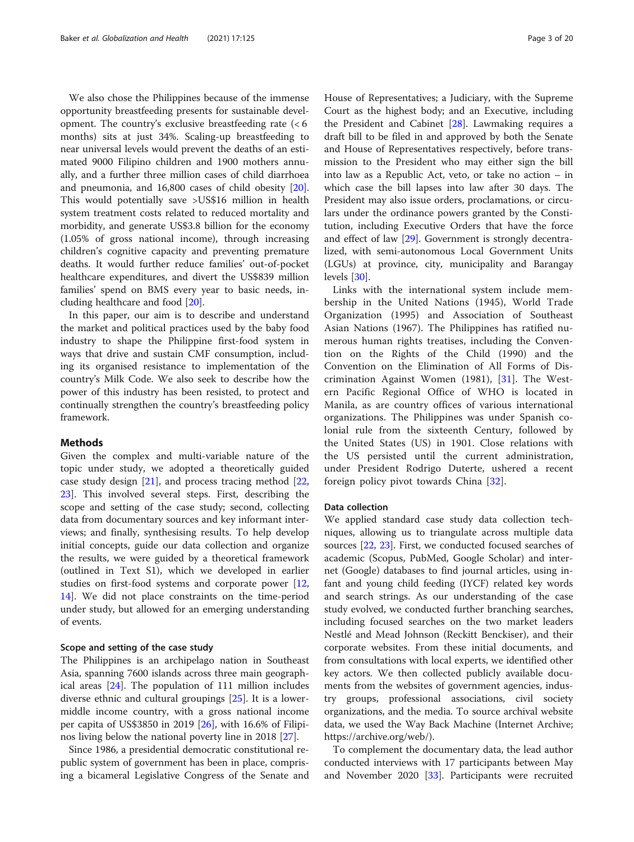We also chose the Philippines because of the immense opportunity breastfeeding presents for sustainable development. The country's exclusive breastfeeding rate (< 6 months) sits at just 34%. Scaling-up breastfeeding to near universal levels would prevent the deaths of an estimated 9000 Filipino children and 1900 mothers annually, and a further three million cases of child diarrhoea and pneumonia, and 16,800 cases of child obesity [\[20](#page-16-0)]. This would potentially save >US\$16 million in health system treatment costs related to reduced mortality and morbidity, and generate US\$3.8 billion for the economy (1.05% of gross national income), through increasing children's cognitive capacity and preventing premature deaths. It would further reduce families' out-of-pocket healthcare expenditures, and divert the US\$839 million families' spend on BMS every year to basic needs, including healthcare and food [\[20\]](#page-16-0).

In this paper, our aim is to describe and understand the market and political practices used by the baby food industry to shape the Philippine first-food system in ways that drive and sustain CMF consumption, including its organised resistance to implementation of the country's Milk Code. We also seek to describe how the power of this industry has been resisted, to protect and continually strengthen the country's breastfeeding policy framework.

## Methods

Given the complex and multi-variable nature of the topic under study, we adopted a theoretically guided case study design [\[21\]](#page-16-0), and process tracing method [[22](#page-16-0), [23\]](#page-16-0). This involved several steps. First, describing the scope and setting of the case study; second, collecting data from documentary sources and key informant interviews; and finally, synthesising results. To help develop initial concepts, guide our data collection and organize the results, we were guided by a theoretical framework (outlined in Text S1), which we developed in earlier studies on first-food systems and corporate power [[12](#page-16-0), [14\]](#page-16-0). We did not place constraints on the time-period under study, but allowed for an emerging understanding of events.

#### Scope and setting of the case study

The Philippines is an archipelago nation in Southeast Asia, spanning 7600 islands across three main geographical areas [\[24](#page-16-0)]. The population of 111 million includes diverse ethnic and cultural groupings [\[25\]](#page-16-0). It is a lowermiddle income country, with a gross national income per capita of US\$3850 in 2019 [[26\]](#page-16-0), with 16.6% of Filipinos living below the national poverty line in 2018 [[27\]](#page-16-0).

Since 1986, a presidential democratic constitutional republic system of government has been in place, comprising a bicameral Legislative Congress of the Senate and House of Representatives; a Judiciary, with the Supreme Court as the highest body; and an Executive, including the President and Cabinet [[28\]](#page-16-0). Lawmaking requires a draft bill to be filed in and approved by both the Senate and House of Representatives respectively, before transmission to the President who may either sign the bill into law as a Republic Act, veto, or take no action – in which case the bill lapses into law after 30 days. The President may also issue orders, proclamations, or circulars under the ordinance powers granted by the Constitution, including Executive Orders that have the force and effect of law [\[29](#page-16-0)]. Government is strongly decentralized, with semi-autonomous Local Government Units (LGUs) at province, city, municipality and Barangay levels [[30\]](#page-16-0).

Links with the international system include membership in the United Nations (1945), World Trade Organization (1995) and Association of Southeast Asian Nations (1967). The Philippines has ratified numerous human rights treatises, including the Convention on the Rights of the Child (1990) and the Convention on the Elimination of All Forms of Discrimination Against Women (1981), [[31\]](#page-16-0). The Western Pacific Regional Office of WHO is located in Manila, as are country offices of various international organizations. The Philippines was under Spanish colonial rule from the sixteenth Century, followed by the United States (US) in 1901. Close relations with the US persisted until the current administration, under President Rodrigo Duterte, ushered a recent foreign policy pivot towards China [\[32](#page-16-0)].

#### Data collection

We applied standard case study data collection techniques, allowing us to triangulate across multiple data sources [[22](#page-16-0), [23\]](#page-16-0). First, we conducted focused searches of academic (Scopus, PubMed, Google Scholar) and internet (Google) databases to find journal articles, using infant and young child feeding (IYCF) related key words and search strings. As our understanding of the case study evolved, we conducted further branching searches, including focused searches on the two market leaders Nestlé and Mead Johnson (Reckitt Benckiser), and their corporate websites. From these initial documents, and from consultations with local experts, we identified other key actors. We then collected publicly available documents from the websites of government agencies, industry groups, professional associations, civil society organizations, and the media. To source archival website data, we used the Way Back Machine (Internet Archive; https://archive.org/web/).

To complement the documentary data, the lead author conducted interviews with 17 participants between May and November 2020 [\[33](#page-16-0)]. Participants were recruited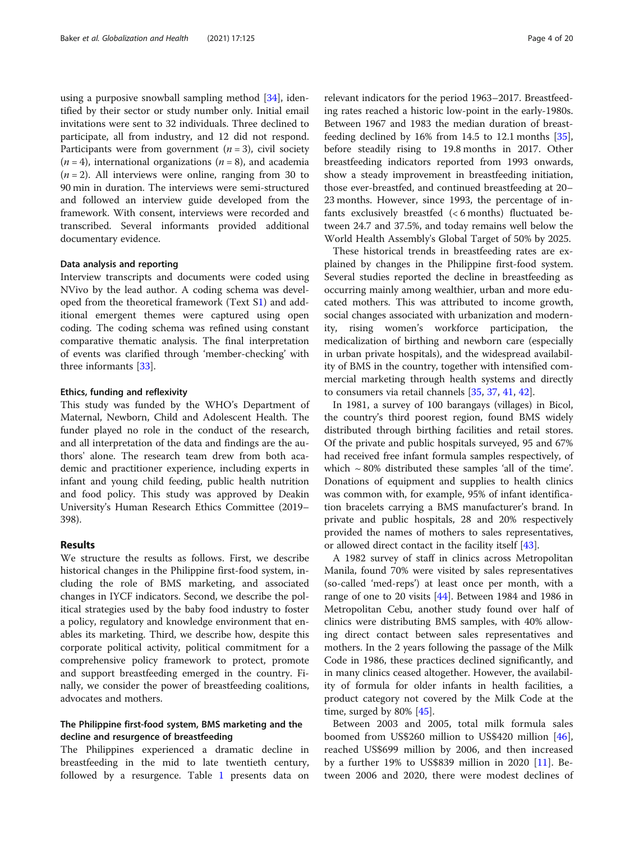using a purposive snowball sampling method [[34\]](#page-16-0), identified by their sector or study number only. Initial email invitations were sent to 32 individuals. Three declined to participate, all from industry, and 12 did not respond. Participants were from government  $(n = 3)$ , civil society  $(n = 4)$ , international organizations  $(n = 8)$ , and academia  $(n = 2)$ . All interviews were online, ranging from 30 to 90 min in duration. The interviews were semi-structured and followed an interview guide developed from the framework. With consent, interviews were recorded and transcribed. Several informants provided additional documentary evidence.

#### Data analysis and reporting

Interview transcripts and documents were coded using NVivo by the lead author. A coding schema was developed from the theoretical framework (Text S[1\)](#page-15-0) and additional emergent themes were captured using open coding. The coding schema was refined using constant comparative thematic analysis. The final interpretation of events was clarified through 'member-checking' with three informants [\[33](#page-16-0)].

#### Ethics, funding and reflexivity

This study was funded by the WHO's Department of Maternal, Newborn, Child and Adolescent Health. The funder played no role in the conduct of the research, and all interpretation of the data and findings are the authors' alone. The research team drew from both academic and practitioner experience, including experts in infant and young child feeding, public health nutrition and food policy. This study was approved by Deakin University's Human Research Ethics Committee (2019– 398).

## Results

We structure the results as follows. First, we describe historical changes in the Philippine first-food system, including the role of BMS marketing, and associated changes in IYCF indicators. Second, we describe the political strategies used by the baby food industry to foster a policy, regulatory and knowledge environment that enables its marketing. Third, we describe how, despite this corporate political activity, political commitment for a comprehensive policy framework to protect, promote and support breastfeeding emerged in the country. Finally, we consider the power of breastfeeding coalitions, advocates and mothers.

## The Philippine first-food system, BMS marketing and the decline and resurgence of breastfeeding

The Philippines experienced a dramatic decline in breastfeeding in the mid to late twentieth century, followed by a resurgence. Table [1](#page-4-0) presents data on

relevant indicators for the period 1963–2017. Breastfeeding rates reached a historic low-point in the early-1980s. Between 1967 and 1983 the median duration of breastfeeding declined by  $16\%$  from 14.5 to 12.1 months  $[35]$  $[35]$ , before steadily rising to 19.8 months in 2017. Other breastfeeding indicators reported from 1993 onwards, show a steady improvement in breastfeeding initiation, those ever-breastfed, and continued breastfeeding at 20– 23 months. However, since 1993, the percentage of infants exclusively breastfed (< 6 months) fluctuated between 24.7 and 37.5%, and today remains well below the World Health Assembly's Global Target of 50% by 2025.

These historical trends in breastfeeding rates are explained by changes in the Philippine first-food system. Several studies reported the decline in breastfeeding as occurring mainly among wealthier, urban and more educated mothers. This was attributed to income growth, social changes associated with urbanization and modernity, rising women's workforce participation, the medicalization of birthing and newborn care (especially in urban private hospitals), and the widespread availability of BMS in the country, together with intensified commercial marketing through health systems and directly to consumers via retail channels [[35,](#page-17-0) [37,](#page-17-0) [41](#page-17-0), [42](#page-17-0)].

In 1981, a survey of 100 barangays (villages) in Bicol, the country's third poorest region, found BMS widely distributed through birthing facilities and retail stores. Of the private and public hospitals surveyed, 95 and 67% had received free infant formula samples respectively, of which  $\sim 80\%$  distributed these samples 'all of the time'. Donations of equipment and supplies to health clinics was common with, for example, 95% of infant identification bracelets carrying a BMS manufacturer's brand. In private and public hospitals, 28 and 20% respectively provided the names of mothers to sales representatives, or allowed direct contact in the facility itself [[43\]](#page-17-0).

A 1982 survey of staff in clinics across Metropolitan Manila, found 70% were visited by sales representatives (so-called 'med-reps') at least once per month, with a range of one to 20 visits [[44\]](#page-17-0). Between 1984 and 1986 in Metropolitan Cebu, another study found over half of clinics were distributing BMS samples, with 40% allowing direct contact between sales representatives and mothers. In the 2 years following the passage of the Milk Code in 1986, these practices declined significantly, and in many clinics ceased altogether. However, the availability of formula for older infants in health facilities, a product category not covered by the Milk Code at the time, surged by  $80\%$  [\[45](#page-17-0)].

Between 2003 and 2005, total milk formula sales boomed from US\$260 million to US\$420 million [\[46](#page-17-0)], reached US\$699 million by 2006, and then increased by a further 19% to US\$839 million in 2020 [[11\]](#page-16-0). Between 2006 and 2020, there were modest declines of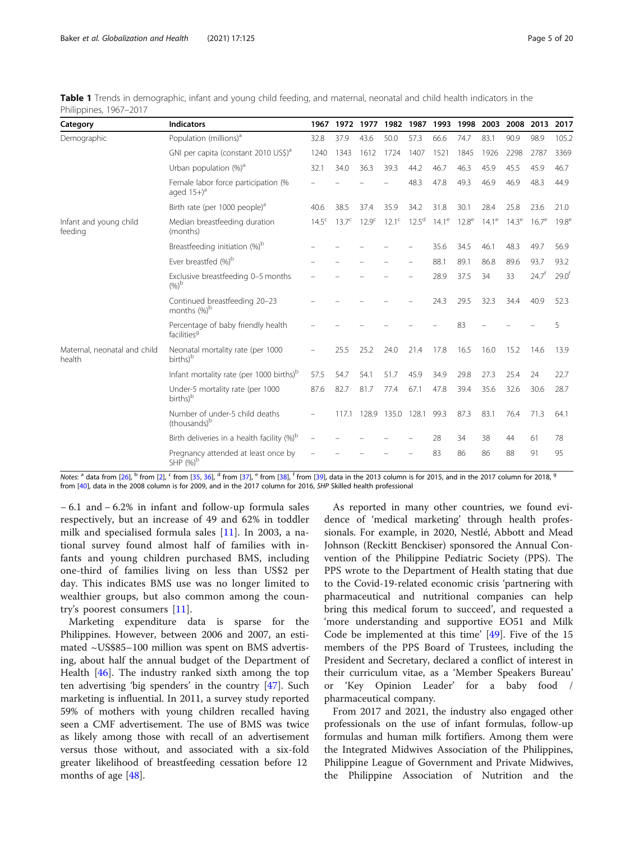<span id="page-4-0"></span>

| Table 1 Trends in demographic, infant and young child feeding, and maternal, neonatal and child health indicators in the |  |  |
|--------------------------------------------------------------------------------------------------------------------------|--|--|
| Philippines, 1967–2017                                                                                                   |  |  |

| Category                               | <b>Indicators</b>                                              | 1967         | 1972           | 1977              | 1982        | 1987              | 1993                       | 1998 | 2003           | 2008     | 2013              | 2017              |
|----------------------------------------|----------------------------------------------------------------|--------------|----------------|-------------------|-------------|-------------------|----------------------------|------|----------------|----------|-------------------|-------------------|
| Demographic                            | Population (millions) <sup>a</sup>                             | 32.8         | 37.9           | 43.6              | 50.0        | 57.3              | 66.6                       | 74.7 | 83.1           | 90.9     | 98.9              | 105.2             |
|                                        | GNI per capita (constant 2010 US\$) <sup>a</sup>               | 1240         | 1343           | 1612              | 1724        | 1407              | 1521                       | 1845 | 1926           | 2298     | 2787              | 3369              |
|                                        | Urban population $(\%)^a$                                      | 32.1         | 34.0           | 36.3              | 39.3        | 44.2              | 46.7                       | 46.3 | 45.9           | 45.5     | 45.9              | 46.7              |
|                                        | Female labor force participation (%<br>aged $15+$ <sup>a</sup> |              |                |                   |             | 48.3              | 47.8                       | 49.3 | 46.9           | 46.9     | 48.3              | 44.9              |
|                                        | Birth rate (per 1000 people) <sup>a</sup>                      | 40.6         | 38.5           | 37.4              | 35.9        | 34.2              | 31.8                       | 30.1 | 28.4           | 25.8     | 23.6              | 21.0              |
| Infant and young child<br>feeding      | Median breastfeeding duration<br>(months)                      | $14.5^\circ$ | $13.7^{\circ}$ | 12.9 <sup>c</sup> | $12.1^c$    | 12.5 <sup>d</sup> | $14.1^e$ 12.8 <sup>e</sup> |      | $14.1^{\circ}$ | $14.3^e$ | $16.7^e$          | 19.8 <sup>e</sup> |
|                                        | Breastfeeding initiation (%) <sup>b</sup>                      |              |                |                   |             |                   | 35.6                       | 34.5 | 46.1           | 48.3     | 49.7              | 56.9              |
|                                        | Ever breastfed (%) <sup>b</sup>                                |              |                |                   |             |                   | 88.1                       | 89.1 | 86.8           | 89.6     | 93.7              | 93.2              |
|                                        | Exclusive breastfeeding 0-5 months<br>$(%)^{\circ}$            |              |                |                   |             |                   | 28.9                       | 37.5 | 34             | 33       | 24.7 <sup>†</sup> | 29.0 <sup>f</sup> |
|                                        | Continued breastfeeding 20-23<br>months (%) <sup>b</sup>       |              |                |                   |             |                   | 24.3                       | 29.5 | 32.3           | 34.4     | 40.9              | 52.3              |
|                                        | Percentage of baby friendly health<br>facilities <sup>9</sup>  |              |                |                   |             |                   |                            | 83   |                |          |                   | 5                 |
| Maternal, neonatal and child<br>health | Neonatal mortality rate (per 1000<br>births) <sup>b</sup>      |              | 25.5           | 25.2              | 24.0        | 21.4              | 17.8                       | 16.5 | 16.0           | 15.2     | 14.6              | 13.9              |
|                                        | Infant mortality rate (per 1000 births) <sup>b</sup>           | 57.5         | 54.7           | 54.1              | 51.7        | 45.9              | 34.9                       | 29.8 | 27.3           | 25.4     | 24                | 22.7              |
|                                        | Under-5 mortality rate (per 1000<br>births) <sup>b</sup>       | 87.6         | 82.7           | 81.7              | 77.4        | 67.1              | 47.8                       | 39.4 | 35.6           | 32.6     | 30.6              | 28.7              |
|                                        | Number of under-5 child deaths<br>(thousands) <sup>b</sup>     |              | 117.1          | 128.9             | 135.0 128.1 |                   | 99.3                       | 87.3 | 83.1           | 76.4     | 71.3              | 64.1              |
|                                        | Birth deliveries in a health facility (%) <sup>b</sup>         |              |                |                   |             |                   | 28                         | 34   | 38             | 44       | 61                | 78                |
|                                        | Pregnancy attended at least once by<br>SHP (%) <sup>b</sup>    |              |                |                   |             |                   | 83                         | 86   | 86             | 88       | 91                | 95                |

Notes:  $a$  data from [[26\]](#page-16-0),  $b$  from [\[2](#page-16-0)],  $c$  from [[35](#page-17-0), [36\]](#page-17-0),  $d$  from [\[37](#page-17-0)],  $e$  from [[38\]](#page-17-0),  $f$  from [[39](#page-17-0)], data in the 2013 column is for 2015, and in the 2017 column for 2018, 9 from [[40\]](#page-17-0), data in the 2008 column is for 2009, and in the 2017 column for 2016, SHP Skilled health professional

− 6.1 and − 6.2% in infant and follow-up formula sales respectively, but an increase of 49 and 62% in toddler milk and specialised formula sales [[11](#page-16-0)]. In 2003, a national survey found almost half of families with infants and young children purchased BMS, including one-third of families living on less than US\$2 per day. This indicates BMS use was no longer limited to wealthier groups, but also common among the country's poorest consumers [\[11](#page-16-0)].

Marketing expenditure data is sparse for the Philippines. However, between 2006 and 2007, an estimated ~US\$85–100 million was spent on BMS advertising, about half the annual budget of the Department of Health [[46\]](#page-17-0). The industry ranked sixth among the top ten advertising 'big spenders' in the country [\[47\]](#page-17-0). Such marketing is influential. In 2011, a survey study reported 59% of mothers with young children recalled having seen a CMF advertisement. The use of BMS was twice as likely among those with recall of an advertisement versus those without, and associated with a six-fold greater likelihood of breastfeeding cessation before 12 months of age [\[48\]](#page-17-0).

As reported in many other countries, we found evidence of 'medical marketing' through health professionals. For example, in 2020, Nestlé, Abbott and Mead Johnson (Reckitt Benckiser) sponsored the Annual Convention of the Philippine Pediatric Society (PPS). The PPS wrote to the Department of Health stating that due to the Covid-19-related economic crisis 'partnering with pharmaceutical and nutritional companies can help bring this medical forum to succeed', and requested a 'more understanding and supportive EO51 and Milk Code be implemented at this time' [[49\]](#page-17-0). Five of the 15 members of the PPS Board of Trustees, including the President and Secretary, declared a conflict of interest in their curriculum vitae, as a 'Member Speakers Bureau' or 'Key Opinion Leader' for a baby food / pharmaceutical company.

From 2017 and 2021, the industry also engaged other professionals on the use of infant formulas, follow-up formulas and human milk fortifiers. Among them were the Integrated Midwives Association of the Philippines, Philippine League of Government and Private Midwives, the Philippine Association of Nutrition and the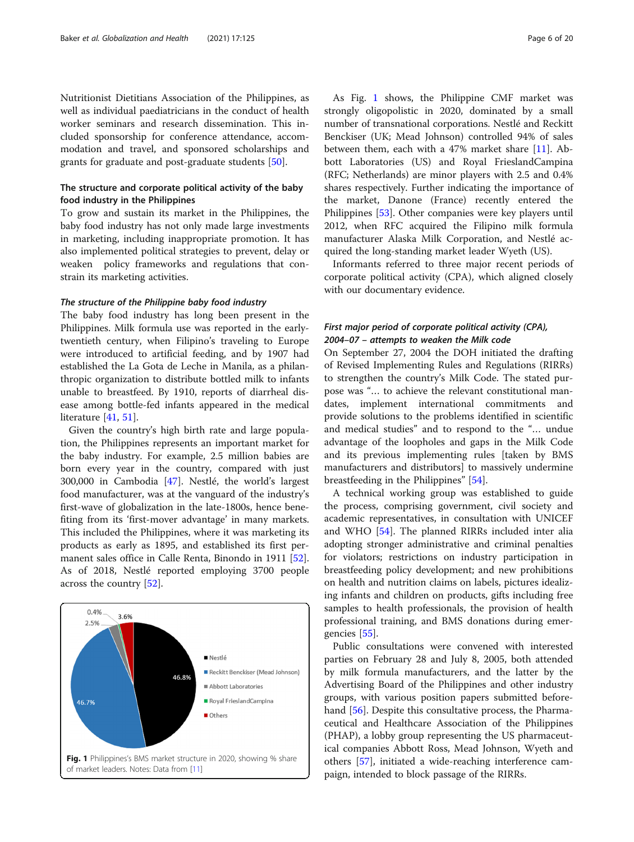Nutritionist Dietitians Association of the Philippines, as well as individual paediatricians in the conduct of health worker seminars and research dissemination. This included sponsorship for conference attendance, accommodation and travel, and sponsored scholarships and grants for graduate and post-graduate students [[50\]](#page-17-0).

## The structure and corporate political activity of the baby food industry in the Philippines

To grow and sustain its market in the Philippines, the baby food industry has not only made large investments in marketing, including inappropriate promotion. It has also implemented political strategies to prevent, delay or weaken policy frameworks and regulations that constrain its marketing activities.

#### The structure of the Philippine baby food industry

The baby food industry has long been present in the Philippines. Milk formula use was reported in the earlytwentieth century, when Filipino's traveling to Europe were introduced to artificial feeding, and by 1907 had established the La Gota de Leche in Manila, as a philanthropic organization to distribute bottled milk to infants unable to breastfeed. By 1910, reports of diarrheal disease among bottle-fed infants appeared in the medical literature [\[41,](#page-17-0) [51\]](#page-17-0).

Given the country's high birth rate and large population, the Philippines represents an important market for the baby industry. For example, 2.5 million babies are born every year in the country, compared with just 300,000 in Cambodia [\[47](#page-17-0)]. Nestlé, the world's largest food manufacturer, was at the vanguard of the industry's first-wave of globalization in the late-1800s, hence benefiting from its 'first-mover advantage' in many markets. This included the Philippines, where it was marketing its products as early as 1895, and established its first permanent sales office in Calle Renta, Binondo in 1911 [\[52](#page-17-0)]. As of 2018, Nestlé reported employing 3700 people across the country [\[52](#page-17-0)].



As Fig. 1 shows, the Philippine CMF market was strongly oligopolistic in 2020, dominated by a small number of transnational corporations. Nestlé and Reckitt Benckiser (UK; Mead Johnson) controlled 94% of sales between them, each with a 47% market share [[11\]](#page-16-0). Abbott Laboratories (US) and Royal FrieslandCampina (RFC; Netherlands) are minor players with 2.5 and 0.4% shares respectively. Further indicating the importance of the market, Danone (France) recently entered the Philippines [\[53](#page-17-0)]. Other companies were key players until 2012, when RFC acquired the Filipino milk formula manufacturer Alaska Milk Corporation, and Nestlé acquired the long-standing market leader Wyeth (US).

Informants referred to three major recent periods of corporate political activity (CPA), which aligned closely with our documentary evidence.

## First major period of corporate political activity (CPA), 2004–07 – attempts to weaken the Milk code

On September 27, 2004 the DOH initiated the drafting of Revised Implementing Rules and Regulations (RIRRs) to strengthen the country's Milk Code. The stated purpose was "… to achieve the relevant constitutional mandates, implement international commitments and provide solutions to the problems identified in scientific and medical studies" and to respond to the "… undue advantage of the loopholes and gaps in the Milk Code and its previous implementing rules [taken by BMS manufacturers and distributors] to massively undermine breastfeeding in the Philippines" [\[54](#page-17-0)].

A technical working group was established to guide the process, comprising government, civil society and academic representatives, in consultation with UNICEF and WHO [\[54](#page-17-0)]. The planned RIRRs included inter alia adopting stronger administrative and criminal penalties for violators; restrictions on industry participation in breastfeeding policy development; and new prohibitions on health and nutrition claims on labels, pictures idealizing infants and children on products, gifts including free samples to health professionals, the provision of health professional training, and BMS donations during emergencies [\[55](#page-17-0)].

Public consultations were convened with interested parties on February 28 and July 8, 2005, both attended by milk formula manufacturers, and the latter by the Advertising Board of the Philippines and other industry groups, with various position papers submitted beforehand [\[56](#page-17-0)]. Despite this consultative process, the Pharmaceutical and Healthcare Association of the Philippines (PHAP), a lobby group representing the US pharmaceutical companies Abbott Ross, Mead Johnson, Wyeth and others [[57](#page-17-0)], initiated a wide-reaching interference campaign, intended to block passage of the RIRRs.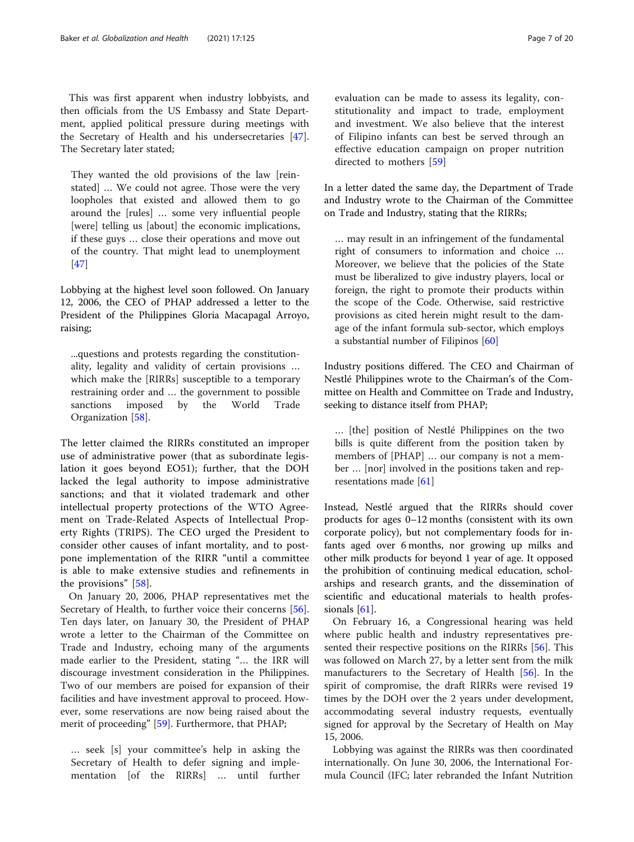This was first apparent when industry lobbyists, and then officials from the US Embassy and State Department, applied political pressure during meetings with the Secretary of Health and his undersecretaries [\[47](#page-17-0)]. The Secretary later stated;

They wanted the old provisions of the law [reinstated] … We could not agree. Those were the very loopholes that existed and allowed them to go around the [rules] … some very influential people [were] telling us [about] the economic implications, if these guys … close their operations and move out of the country. That might lead to unemployment [[47\]](#page-17-0)

Lobbying at the highest level soon followed. On January 12, 2006, the CEO of PHAP addressed a letter to the President of the Philippines Gloria Macapagal Arroyo, raising;

...questions and protests regarding the constitutionality, legality and validity of certain provisions … which make the [RIRRs] susceptible to a temporary restraining order and … the government to possible sanctions imposed by the World Trade Organization [\[58](#page-17-0)].

The letter claimed the RIRRs constituted an improper use of administrative power (that as subordinate legislation it goes beyond EO51); further, that the DOH lacked the legal authority to impose administrative sanctions; and that it violated trademark and other intellectual property protections of the WTO Agreement on Trade-Related Aspects of Intellectual Property Rights (TRIPS). The CEO urged the President to consider other causes of infant mortality, and to postpone implementation of the RIRR "until a committee is able to make extensive studies and refinements in the provisions" [\[58](#page-17-0)].

On January 20, 2006, PHAP representatives met the Secretary of Health, to further voice their concerns [\[56](#page-17-0)]. Ten days later, on January 30, the President of PHAP wrote a letter to the Chairman of the Committee on Trade and Industry, echoing many of the arguments made earlier to the President, stating "… the IRR will discourage investment consideration in the Philippines. Two of our members are poised for expansion of their facilities and have investment approval to proceed. However, some reservations are now being raised about the merit of proceeding" [\[59](#page-17-0)]. Furthermore, that PHAP;

… seek [s] your committee's help in asking the Secretary of Health to defer signing and implementation [of the RIRRs] … until further

evaluation can be made to assess its legality, constitutionality and impact to trade, employment and investment. We also believe that the interest of Filipino infants can best be served through an effective education campaign on proper nutrition directed to mothers [\[59](#page-17-0)]

In a letter dated the same day, the Department of Trade and Industry wrote to the Chairman of the Committee on Trade and Industry, stating that the RIRRs;

… may result in an infringement of the fundamental right of consumers to information and choice … Moreover, we believe that the policies of the State must be liberalized to give industry players, local or foreign, the right to promote their products within the scope of the Code. Otherwise, said restrictive provisions as cited herein might result to the damage of the infant formula sub-sector, which employs a substantial number of Filipinos [[60](#page-17-0)]

Industry positions differed. The CEO and Chairman of Nestlé Philippines wrote to the Chairman's of the Committee on Health and Committee on Trade and Industry, seeking to distance itself from PHAP;

… [the] position of Nestlé Philippines on the two bills is quite different from the position taken by members of [PHAP] … our company is not a member … [nor] involved in the positions taken and representations made [\[61](#page-17-0)]

Instead, Nestlé argued that the RIRRs should cover products for ages 0–12 months (consistent with its own corporate policy), but not complementary foods for infants aged over 6 months, nor growing up milks and other milk products for beyond 1 year of age. It opposed the prohibition of continuing medical education, scholarships and research grants, and the dissemination of scientific and educational materials to health profes-sionals [\[61](#page-17-0)].

On February 16, a Congressional hearing was held where public health and industry representatives pre-sented their respective positions on the RIRRs [[56\]](#page-17-0). This was followed on March 27, by a letter sent from the milk manufacturers to the Secretary of Health [[56](#page-17-0)]. In the spirit of compromise, the draft RIRRs were revised 19 times by the DOH over the 2 years under development, accommodating several industry requests, eventually signed for approval by the Secretary of Health on May 15, 2006.

Lobbying was against the RIRRs was then coordinated internationally. On June 30, 2006, the International Formula Council (IFC; later rebranded the Infant Nutrition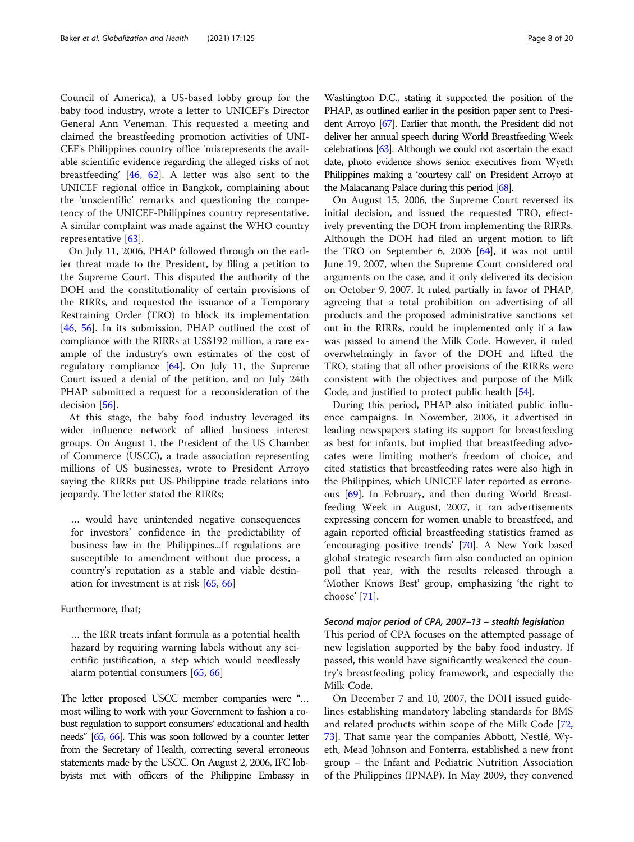Council of America), a US-based lobby group for the baby food industry, wrote a letter to UNICEF's Director General Ann Veneman. This requested a meeting and claimed the breastfeeding promotion activities of UNI-CEF's Philippines country office 'misrepresents the available scientific evidence regarding the alleged risks of not breastfeeding' [\[46](#page-17-0), [62\]](#page-17-0). A letter was also sent to the UNICEF regional office in Bangkok, complaining about the 'unscientific' remarks and questioning the competency of the UNICEF-Philippines country representative. A similar complaint was made against the WHO country representative [[63\]](#page-17-0).

On July 11, 2006, PHAP followed through on the earlier threat made to the President, by filing a petition to the Supreme Court. This disputed the authority of the DOH and the constitutionality of certain provisions of the RIRRs, and requested the issuance of a Temporary Restraining Order (TRO) to block its implementation [[46,](#page-17-0) [56](#page-17-0)]. In its submission, PHAP outlined the cost of compliance with the RIRRs at US\$192 million, a rare example of the industry's own estimates of the cost of regulatory compliance [[64\]](#page-17-0). On July 11, the Supreme Court issued a denial of the petition, and on July 24th PHAP submitted a request for a reconsideration of the decision [\[56](#page-17-0)].

At this stage, the baby food industry leveraged its wider influence network of allied business interest groups. On August 1, the President of the US Chamber of Commerce (USCC), a trade association representing millions of US businesses, wrote to President Arroyo saying the RIRRs put US-Philippine trade relations into jeopardy. The letter stated the RIRRs;

… would have unintended negative consequences for investors' confidence in the predictability of business law in the Philippines...If regulations are susceptible to amendment without due process, a country's reputation as a stable and viable destination for investment is at risk [[65](#page-17-0), [66](#page-17-0)]

## Furthermore, that;

… the IRR treats infant formula as a potential health hazard by requiring warning labels without any scientific justification, a step which would needlessly alarm potential consumers [[65,](#page-17-0) [66\]](#page-17-0)

The letter proposed USCC member companies were "… most willing to work with your Government to fashion a robust regulation to support consumers' educational and health needs" [\[65](#page-17-0), [66](#page-17-0)]. This was soon followed by a counter letter from the Secretary of Health, correcting several erroneous statements made by the USCC. On August 2, 2006, IFC lobbyists met with officers of the Philippine Embassy in

Washington D.C., stating it supported the position of the PHAP, as outlined earlier in the position paper sent to President Arroyo [\[67](#page-17-0)]. Earlier that month, the President did not deliver her annual speech during World Breastfeeding Week celebrations [\[63](#page-17-0)]. Although we could not ascertain the exact date, photo evidence shows senior executives from Wyeth Philippines making a 'courtesy call' on President Arroyo at the Malacanang Palace during this period [[68\]](#page-17-0).

On August 15, 2006, the Supreme Court reversed its initial decision, and issued the requested TRO, effectively preventing the DOH from implementing the RIRRs. Although the DOH had filed an urgent motion to lift the TRO on September 6, 2006  $[64]$  $[64]$ , it was not until June 19, 2007, when the Supreme Court considered oral arguments on the case, and it only delivered its decision on October 9, 2007. It ruled partially in favor of PHAP, agreeing that a total prohibition on advertising of all products and the proposed administrative sanctions set out in the RIRRs, could be implemented only if a law was passed to amend the Milk Code. However, it ruled overwhelmingly in favor of the DOH and lifted the TRO, stating that all other provisions of the RIRRs were consistent with the objectives and purpose of the Milk Code, and justified to protect public health [\[54\]](#page-17-0).

During this period, PHAP also initiated public influence campaigns. In November, 2006, it advertised in leading newspapers stating its support for breastfeeding as best for infants, but implied that breastfeeding advocates were limiting mother's freedom of choice, and cited statistics that breastfeeding rates were also high in the Philippines, which UNICEF later reported as erroneous [[69\]](#page-17-0). In February, and then during World Breastfeeding Week in August, 2007, it ran advertisements expressing concern for women unable to breastfeed, and again reported official breastfeeding statistics framed as 'encouraging positive trends' [\[70](#page-17-0)]. A New York based global strategic research firm also conducted an opinion poll that year, with the results released through a 'Mother Knows Best' group, emphasizing 'the right to choose' [[71\]](#page-17-0).

#### Second major period of CPA, 2007–13 – stealth legislation

This period of CPA focuses on the attempted passage of new legislation supported by the baby food industry. If passed, this would have significantly weakened the country's breastfeeding policy framework, and especially the Milk Code.

On December 7 and 10, 2007, the DOH issued guidelines establishing mandatory labeling standards for BMS and related products within scope of the Milk Code [[72](#page-17-0), [73\]](#page-17-0). That same year the companies Abbott, Nestlé, Wyeth, Mead Johnson and Fonterra, established a new front group – the Infant and Pediatric Nutrition Association of the Philippines (IPNAP). In May 2009, they convened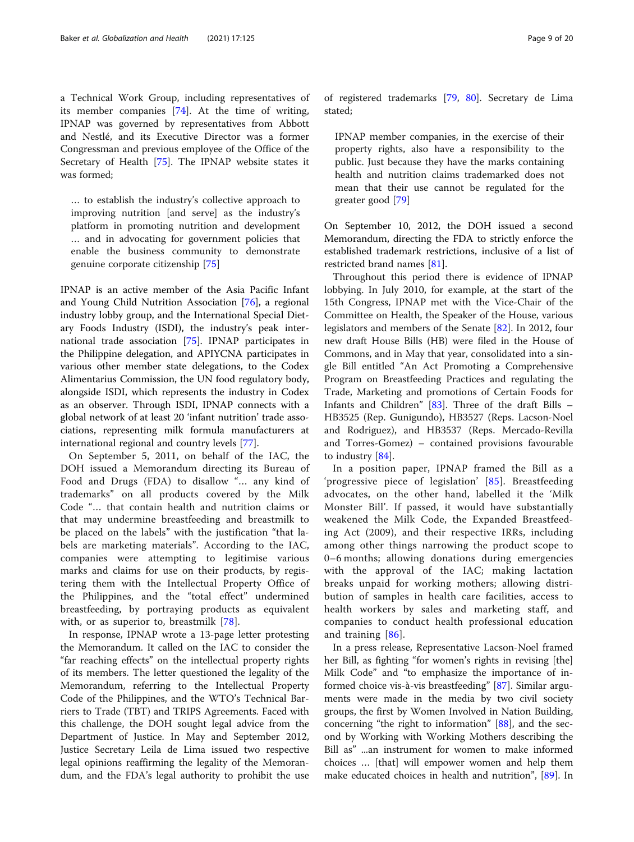a Technical Work Group, including representatives of its member companies [[74\]](#page-17-0). At the time of writing, IPNAP was governed by representatives from Abbott and Nestlé, and its Executive Director was a former Congressman and previous employee of the Office of the Secretary of Health [\[75](#page-17-0)]. The IPNAP website states it was formed;

… to establish the industry's collective approach to improving nutrition [and serve] as the industry's platform in promoting nutrition and development … and in advocating for government policies that enable the business community to demonstrate genuine corporate citizenship [[75\]](#page-17-0)

IPNAP is an active member of the Asia Pacific Infant and Young Child Nutrition Association [[76\]](#page-17-0), a regional industry lobby group, and the International Special Dietary Foods Industry (ISDI), the industry's peak international trade association [\[75\]](#page-17-0). IPNAP participates in the Philippine delegation, and APIYCNA participates in various other member state delegations, to the Codex Alimentarius Commission, the UN food regulatory body, alongside ISDI, which represents the industry in Codex as an observer. Through ISDI, IPNAP connects with a global network of at least 20 'infant nutrition' trade associations, representing milk formula manufacturers at international regional and country levels [\[77](#page-17-0)].

On September 5, 2011, on behalf of the IAC, the DOH issued a Memorandum directing its Bureau of Food and Drugs (FDA) to disallow "… any kind of trademarks" on all products covered by the Milk Code "… that contain health and nutrition claims or that may undermine breastfeeding and breastmilk to be placed on the labels" with the justification "that labels are marketing materials". According to the IAC, companies were attempting to legitimise various marks and claims for use on their products, by registering them with the Intellectual Property Office of the Philippines, and the "total effect" undermined breastfeeding, by portraying products as equivalent with, or as superior to, breastmilk [\[78](#page-17-0)].

In response, IPNAP wrote a 13-page letter protesting the Memorandum. It called on the IAC to consider the "far reaching effects" on the intellectual property rights of its members. The letter questioned the legality of the Memorandum, referring to the Intellectual Property Code of the Philippines, and the WTO's Technical Barriers to Trade (TBT) and TRIPS Agreements. Faced with this challenge, the DOH sought legal advice from the Department of Justice. In May and September 2012, Justice Secretary Leila de Lima issued two respective legal opinions reaffirming the legality of the Memorandum, and the FDA's legal authority to prohibit the use

of registered trademarks [[79,](#page-17-0) [80](#page-17-0)]. Secretary de Lima stated;

IPNAP member companies, in the exercise of their property rights, also have a responsibility to the public. Just because they have the marks containing health and nutrition claims trademarked does not mean that their use cannot be regulated for the greater good [\[79](#page-17-0)]

On September 10, 2012, the DOH issued a second Memorandum, directing the FDA to strictly enforce the established trademark restrictions, inclusive of a list of restricted brand names [\[81\]](#page-17-0).

Throughout this period there is evidence of IPNAP lobbying. In July 2010, for example, at the start of the 15th Congress, IPNAP met with the Vice-Chair of the Committee on Health, the Speaker of the House, various legislators and members of the Senate [[82\]](#page-18-0). In 2012, four new draft House Bills (HB) were filed in the House of Commons, and in May that year, consolidated into a single Bill entitled "An Act Promoting a Comprehensive Program on Breastfeeding Practices and regulating the Trade, Marketing and promotions of Certain Foods for Infants and Children" [[83](#page-18-0)]. Three of the draft Bills – HB3525 (Rep. Gunigundo), HB3527 (Reps. Lacson-Noel and Rodriguez), and HB3537 (Reps. Mercado-Revilla and Torres-Gomez) – contained provisions favourable to industry [[84](#page-18-0)].

In a position paper, IPNAP framed the Bill as a 'progressive piece of legislation' [\[85](#page-18-0)]. Breastfeeding advocates, on the other hand, labelled it the 'Milk Monster Bill'. If passed, it would have substantially weakened the Milk Code, the Expanded Breastfeeding Act (2009), and their respective IRRs, including among other things narrowing the product scope to 0–6 months; allowing donations during emergencies with the approval of the IAC; making lactation breaks unpaid for working mothers; allowing distribution of samples in health care facilities, access to health workers by sales and marketing staff, and companies to conduct health professional education and training [[86](#page-18-0)].

In a press release, Representative Lacson-Noel framed her Bill, as fighting "for women's rights in revising [the] Milk Code" and "to emphasize the importance of informed choice vis-à-vis breastfeeding" [[87\]](#page-18-0). Similar arguments were made in the media by two civil society groups, the first by Women Involved in Nation Building, concerning "the right to information" [\[88](#page-18-0)], and the second by Working with Working Mothers describing the Bill as" ...an instrument for women to make informed choices … [that] will empower women and help them make educated choices in health and nutrition", [\[89](#page-18-0)]. In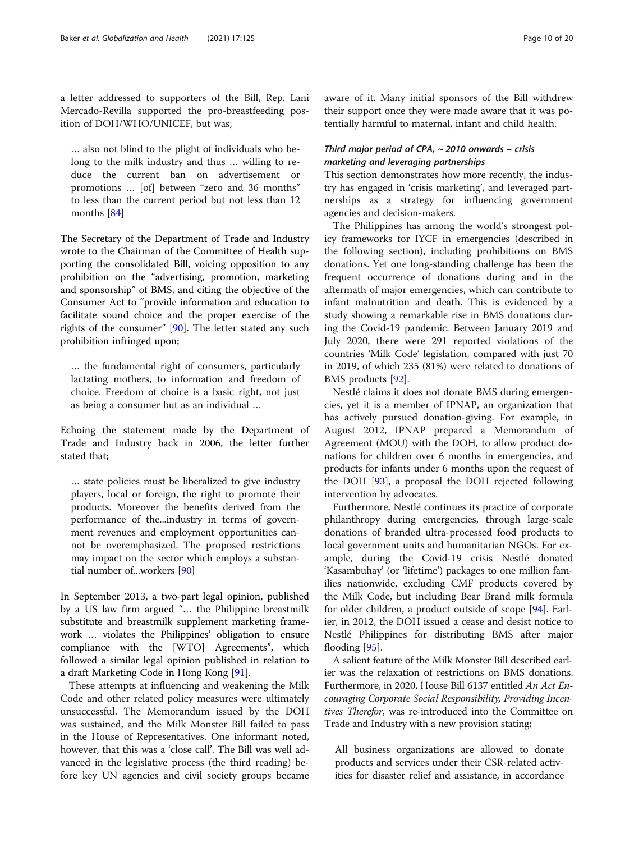a letter addressed to supporters of the Bill, Rep. Lani Mercado-Revilla supported the pro-breastfeeding position of DOH/WHO/UNICEF, but was;

… also not blind to the plight of individuals who belong to the milk industry and thus … willing to reduce the current ban on advertisement or promotions … [of] between "zero and 36 months" to less than the current period but not less than 12 months [[84\]](#page-18-0)

The Secretary of the Department of Trade and Industry wrote to the Chairman of the Committee of Health supporting the consolidated Bill, voicing opposition to any prohibition on the "advertising, promotion, marketing and sponsorship" of BMS, and citing the objective of the Consumer Act to "provide information and education to facilitate sound choice and the proper exercise of the rights of the consumer" [\[90](#page-18-0)]. The letter stated any such prohibition infringed upon;

… the fundamental right of consumers, particularly lactating mothers, to information and freedom of choice. Freedom of choice is a basic right, not just as being a consumer but as an individual …

Echoing the statement made by the Department of Trade and Industry back in 2006, the letter further stated that;

… state policies must be liberalized to give industry players, local or foreign, the right to promote their products. Moreover the benefits derived from the performance of the...industry in terms of government revenues and employment opportunities cannot be overemphasized. The proposed restrictions may impact on the sector which employs a substantial number of...workers [\[90](#page-18-0)]

In September 2013, a two-part legal opinion, published by a US law firm argued "… the Philippine breastmilk substitute and breastmilk supplement marketing framework … violates the Philippines' obligation to ensure compliance with the [WTO] Agreements", which followed a similar legal opinion published in relation to a draft Marketing Code in Hong Kong [\[91](#page-18-0)].

These attempts at influencing and weakening the Milk Code and other related policy measures were ultimately unsuccessful. The Memorandum issued by the DOH was sustained, and the Milk Monster Bill failed to pass in the House of Representatives. One informant noted, however, that this was a 'close call'. The Bill was well advanced in the legislative process (the third reading) before key UN agencies and civil society groups became aware of it. Many initial sponsors of the Bill withdrew their support once they were made aware that it was potentially harmful to maternal, infant and child health.

## Third major period of CPA,  $\sim$  2010 onwards - crisis marketing and leveraging partnerships

This section demonstrates how more recently, the industry has engaged in 'crisis marketing', and leveraged partnerships as a strategy for influencing government agencies and decision-makers.

The Philippines has among the world's strongest policy frameworks for IYCF in emergencies (described in the following section), including prohibitions on BMS donations. Yet one long-standing challenge has been the frequent occurrence of donations during and in the aftermath of major emergencies, which can contribute to infant malnutrition and death. This is evidenced by a study showing a remarkable rise in BMS donations during the Covid-19 pandemic. Between January 2019 and July 2020, there were 291 reported violations of the countries 'Milk Code' legislation, compared with just 70 in 2019, of which 235 (81%) were related to donations of BMS products [[92](#page-18-0)].

Nestlé claims it does not donate BMS during emergencies, yet it is a member of IPNAP, an organization that has actively pursued donation-giving. For example, in August 2012, IPNAP prepared a Memorandum of Agreement (MOU) with the DOH, to allow product donations for children over 6 months in emergencies, and products for infants under 6 months upon the request of the DOH [\[93\]](#page-18-0), a proposal the DOH rejected following intervention by advocates.

Furthermore, Nestlé continues its practice of corporate philanthropy during emergencies, through large-scale donations of branded ultra-processed food products to local government units and humanitarian NGOs. For example, during the Covid-19 crisis Nestlé donated 'Kasambuhay' (or 'lifetime') packages to one million families nationwide, excluding CMF products covered by the Milk Code, but including Bear Brand milk formula for older children, a product outside of scope [\[94](#page-18-0)]. Earlier, in 2012, the DOH issued a cease and desist notice to Nestlé Philippines for distributing BMS after major flooding [\[95](#page-18-0)].

A salient feature of the Milk Monster Bill described earlier was the relaxation of restrictions on BMS donations. Furthermore, in 2020, House Bill 6137 entitled An Act Encouraging Corporate Social Responsibility, Providing Incentives Therefor, was re-introduced into the Committee on Trade and Industry with a new provision stating;

All business organizations are allowed to donate products and services under their CSR-related activities for disaster relief and assistance, in accordance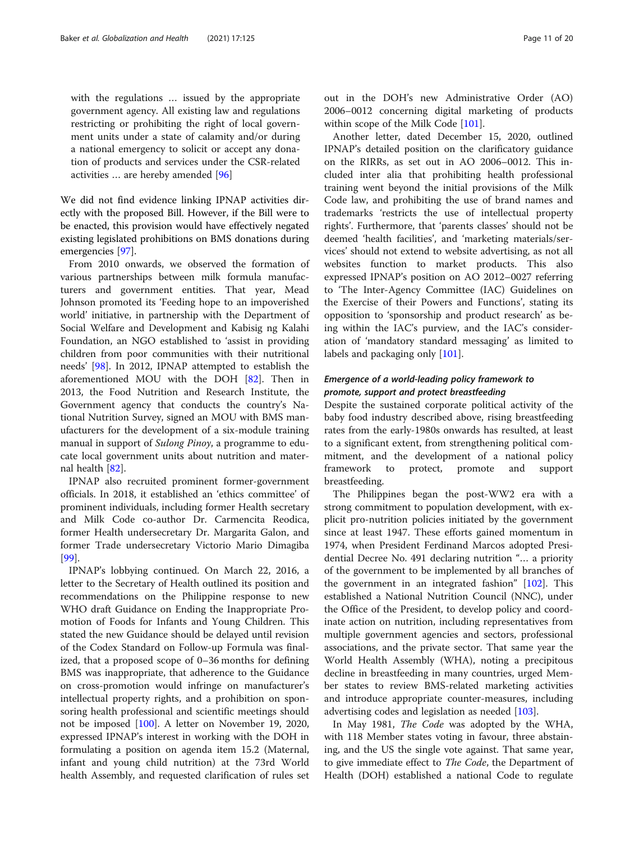with the regulations … issued by the appropriate government agency. All existing law and regulations restricting or prohibiting the right of local government units under a state of calamity and/or during a national emergency to solicit or accept any donation of products and services under the CSR-related activities … are hereby amended [\[96](#page-18-0)]

We did not find evidence linking IPNAP activities directly with the proposed Bill. However, if the Bill were to be enacted, this provision would have effectively negated existing legislated prohibitions on BMS donations during emergencies [\[97\]](#page-18-0).

From 2010 onwards, we observed the formation of various partnerships between milk formula manufacturers and government entities. That year, Mead Johnson promoted its 'Feeding hope to an impoverished world' initiative, in partnership with the Department of Social Welfare and Development and Kabisig ng Kalahi Foundation, an NGO established to 'assist in providing children from poor communities with their nutritional needs' [\[98](#page-18-0)]. In 2012, IPNAP attempted to establish the aforementioned MOU with the DOH [\[82\]](#page-18-0). Then in 2013, the Food Nutrition and Research Institute, the Government agency that conducts the country's National Nutrition Survey, signed an MOU with BMS manufacturers for the development of a six-module training manual in support of *Sulong Pinoy*, a programme to educate local government units about nutrition and maternal health [\[82](#page-18-0)].

IPNAP also recruited prominent former-government officials. In 2018, it established an 'ethics committee' of prominent individuals, including former Health secretary and Milk Code co-author Dr. Carmencita Reodica, former Health undersecretary Dr. Margarita Galon, and former Trade undersecretary Victorio Mario Dimagiba [[99\]](#page-18-0).

IPNAP's lobbying continued. On March 22, 2016, a letter to the Secretary of Health outlined its position and recommendations on the Philippine response to new WHO draft Guidance on Ending the Inappropriate Promotion of Foods for Infants and Young Children. This stated the new Guidance should be delayed until revision of the Codex Standard on Follow-up Formula was finalized, that a proposed scope of 0–36 months for defining BMS was inappropriate, that adherence to the Guidance on cross-promotion would infringe on manufacturer's intellectual property rights, and a prohibition on sponsoring health professional and scientific meetings should not be imposed [\[100\]](#page-18-0). A letter on November 19, 2020, expressed IPNAP's interest in working with the DOH in formulating a position on agenda item 15.2 (Maternal, infant and young child nutrition) at the 73rd World health Assembly, and requested clarification of rules set

Another letter, dated December 15, 2020, outlined IPNAP's detailed position on the clarificatory guidance on the RIRRs, as set out in AO 2006–0012. This included inter alia that prohibiting health professional training went beyond the initial provisions of the Milk Code law, and prohibiting the use of brand names and trademarks 'restricts the use of intellectual property rights'. Furthermore, that 'parents classes' should not be deemed 'health facilities', and 'marketing materials/services' should not extend to website advertising, as not all websites function to market products. This also expressed IPNAP's position on AO 2012–0027 referring to 'The Inter-Agency Committee (IAC) Guidelines on the Exercise of their Powers and Functions', stating its opposition to 'sponsorship and product research' as being within the IAC's purview, and the IAC's consideration of 'mandatory standard messaging' as limited to labels and packaging only [[101](#page-18-0)].

## Emergence of a world-leading policy framework to promote, support and protect breastfeeding

Despite the sustained corporate political activity of the baby food industry described above, rising breastfeeding rates from the early-1980s onwards has resulted, at least to a significant extent, from strengthening political commitment, and the development of a national policy framework to protect, promote and support breastfeeding.

The Philippines began the post-WW2 era with a strong commitment to population development, with explicit pro-nutrition policies initiated by the government since at least 1947. These efforts gained momentum in 1974, when President Ferdinand Marcos adopted Presidential Decree No. 491 declaring nutrition "… a priority of the government to be implemented by all branches of the government in an integrated fashion" [[102\]](#page-18-0). This established a National Nutrition Council (NNC), under the Office of the President, to develop policy and coordinate action on nutrition, including representatives from multiple government agencies and sectors, professional associations, and the private sector. That same year the World Health Assembly (WHA), noting a precipitous decline in breastfeeding in many countries, urged Member states to review BMS-related marketing activities and introduce appropriate counter-measures, including advertising codes and legislation as needed [\[103\]](#page-18-0).

In May 1981, The Code was adopted by the WHA, with 118 Member states voting in favour, three abstaining, and the US the single vote against. That same year, to give immediate effect to *The Code*, the Department of Health (DOH) established a national Code to regulate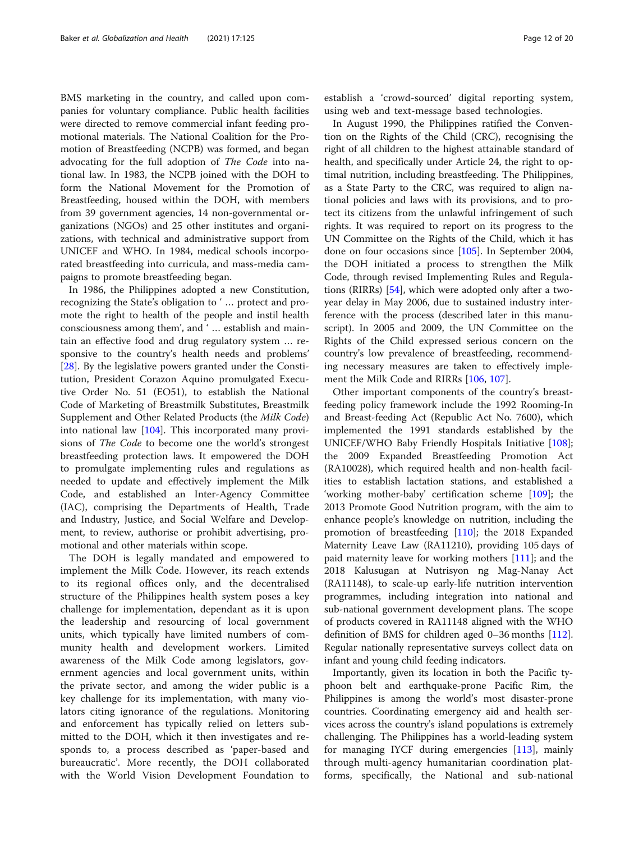BMS marketing in the country, and called upon companies for voluntary compliance. Public health facilities were directed to remove commercial infant feeding promotional materials. The National Coalition for the Promotion of Breastfeeding (NCPB) was formed, and began advocating for the full adoption of The Code into national law. In 1983, the NCPB joined with the DOH to form the National Movement for the Promotion of Breastfeeding, housed within the DOH, with members from 39 government agencies, 14 non-governmental organizations (NGOs) and 25 other institutes and organizations, with technical and administrative support from UNICEF and WHO. In 1984, medical schools incorporated breastfeeding into curricula, and mass-media campaigns to promote breastfeeding began.

In 1986, the Philippines adopted a new Constitution, recognizing the State's obligation to ' … protect and promote the right to health of the people and instil health consciousness among them', and ' … establish and maintain an effective food and drug regulatory system … responsive to the country's health needs and problems' [[28\]](#page-16-0). By the legislative powers granted under the Constitution, President Corazon Aquino promulgated Executive Order No. 51 (EO51), to establish the National Code of Marketing of Breastmilk Substitutes, Breastmilk Supplement and Other Related Products (the Milk Code) into national law [[104\]](#page-18-0). This incorporated many provisions of The Code to become one the world's strongest breastfeeding protection laws. It empowered the DOH to promulgate implementing rules and regulations as needed to update and effectively implement the Milk Code, and established an Inter-Agency Committee (IAC), comprising the Departments of Health, Trade and Industry, Justice, and Social Welfare and Development, to review, authorise or prohibit advertising, promotional and other materials within scope.

The DOH is legally mandated and empowered to implement the Milk Code. However, its reach extends to its regional offices only, and the decentralised structure of the Philippines health system poses a key challenge for implementation, dependant as it is upon the leadership and resourcing of local government units, which typically have limited numbers of community health and development workers. Limited awareness of the Milk Code among legislators, government agencies and local government units, within the private sector, and among the wider public is a key challenge for its implementation, with many violators citing ignorance of the regulations. Monitoring and enforcement has typically relied on letters submitted to the DOH, which it then investigates and responds to, a process described as 'paper-based and bureaucratic'. More recently, the DOH collaborated with the World Vision Development Foundation to establish a 'crowd-sourced' digital reporting system, using web and text-message based technologies.

In August 1990, the Philippines ratified the Convention on the Rights of the Child (CRC), recognising the right of all children to the highest attainable standard of health, and specifically under Article 24, the right to optimal nutrition, including breastfeeding. The Philippines, as a State Party to the CRC, was required to align national policies and laws with its provisions, and to protect its citizens from the unlawful infringement of such rights. It was required to report on its progress to the UN Committee on the Rights of the Child, which it has done on four occasions since [\[105](#page-18-0)]. In September 2004, the DOH initiated a process to strengthen the Milk Code, through revised Implementing Rules and Regulations (RIRRs) [[54\]](#page-17-0), which were adopted only after a twoyear delay in May 2006, due to sustained industry interference with the process (described later in this manuscript). In 2005 and 2009, the UN Committee on the Rights of the Child expressed serious concern on the country's low prevalence of breastfeeding, recommending necessary measures are taken to effectively implement the Milk Code and RIRRs [\[106](#page-18-0), [107\]](#page-18-0).

Other important components of the country's breastfeeding policy framework include the 1992 Rooming-In and Breast-feeding Act (Republic Act No. 7600), which implemented the 1991 standards established by the UNICEF/WHO Baby Friendly Hospitals Initiative [[108](#page-18-0)]; the 2009 Expanded Breastfeeding Promotion Act (RA10028), which required health and non-health facilities to establish lactation stations, and established a 'working mother-baby' certification scheme [[109\]](#page-18-0); the 2013 Promote Good Nutrition program, with the aim to enhance people's knowledge on nutrition, including the promotion of breastfeeding [[110](#page-18-0)]; the 2018 Expanded Maternity Leave Law (RA11210), providing 105 days of paid maternity leave for working mothers [[111\]](#page-18-0); and the 2018 Kalusugan at Nutrisyon ng Mag-Nanay Act (RA11148), to scale-up early-life nutrition intervention programmes, including integration into national and sub-national government development plans. The scope of products covered in RA11148 aligned with the WHO definition of BMS for children aged 0–36 months [[112](#page-18-0)]. Regular nationally representative surveys collect data on infant and young child feeding indicators.

Importantly, given its location in both the Pacific typhoon belt and earthquake-prone Pacific Rim, the Philippines is among the world's most disaster-prone countries. Coordinating emergency aid and health services across the country's island populations is extremely challenging. The Philippines has a world-leading system for managing IYCF during emergencies [\[113](#page-18-0)], mainly through multi-agency humanitarian coordination platforms, specifically, the National and sub-national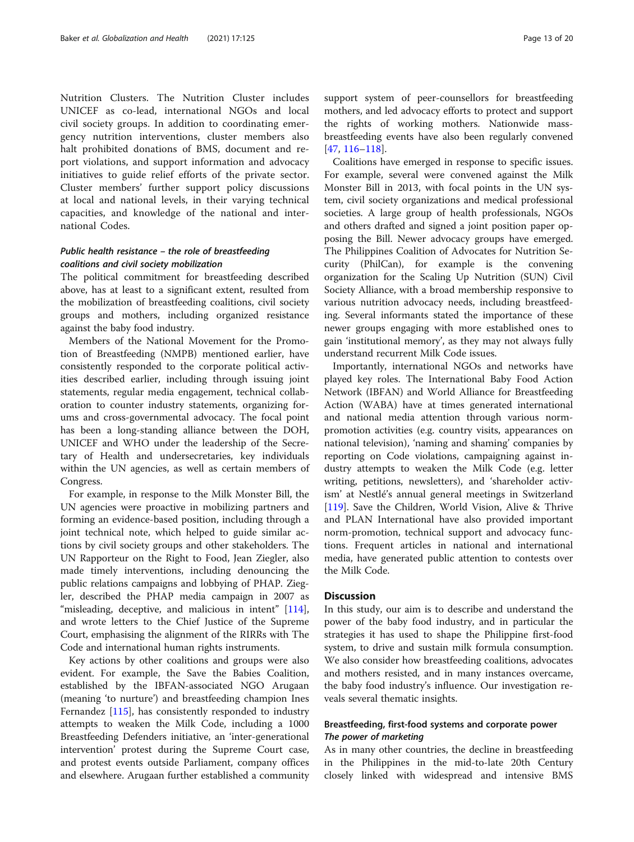Nutrition Clusters. The Nutrition Cluster includes UNICEF as co-lead, international NGOs and local civil society groups. In addition to coordinating emergency nutrition interventions, cluster members also halt prohibited donations of BMS, document and report violations, and support information and advocacy initiatives to guide relief efforts of the private sector. Cluster members' further support policy discussions at local and national levels, in their varying technical capacities, and knowledge of the national and international Codes.

## Public health resistance – the role of breastfeeding coalitions and civil society mobilization

The political commitment for breastfeeding described above, has at least to a significant extent, resulted from the mobilization of breastfeeding coalitions, civil society groups and mothers, including organized resistance against the baby food industry.

Members of the National Movement for the Promotion of Breastfeeding (NMPB) mentioned earlier, have consistently responded to the corporate political activities described earlier, including through issuing joint statements, regular media engagement, technical collaboration to counter industry statements, organizing forums and cross-governmental advocacy. The focal point has been a long-standing alliance between the DOH, UNICEF and WHO under the leadership of the Secretary of Health and undersecretaries, key individuals within the UN agencies, as well as certain members of Congress.

For example, in response to the Milk Monster Bill, the UN agencies were proactive in mobilizing partners and forming an evidence-based position, including through a joint technical note, which helped to guide similar actions by civil society groups and other stakeholders. The UN Rapporteur on the Right to Food, Jean Ziegler, also made timely interventions, including denouncing the public relations campaigns and lobbying of PHAP. Ziegler, described the PHAP media campaign in 2007 as "misleading, deceptive, and malicious in intent" [\[114](#page-18-0)], and wrote letters to the Chief Justice of the Supreme Court, emphasising the alignment of the RIRRs with The Code and international human rights instruments.

Key actions by other coalitions and groups were also evident. For example, the Save the Babies Coalition, established by the IBFAN-associated NGO Arugaan (meaning 'to nurture') and breastfeeding champion Ines Fernandez [[115\]](#page-18-0), has consistently responded to industry attempts to weaken the Milk Code, including a 1000 Breastfeeding Defenders initiative, an 'inter-generational intervention' protest during the Supreme Court case, and protest events outside Parliament, company offices and elsewhere. Arugaan further established a community support system of peer-counsellors for breastfeeding mothers, and led advocacy efforts to protect and support the rights of working mothers. Nationwide massbreastfeeding events have also been regularly convened [[47,](#page-17-0) [116](#page-18-0)–[118](#page-18-0)].

Coalitions have emerged in response to specific issues. For example, several were convened against the Milk Monster Bill in 2013, with focal points in the UN system, civil society organizations and medical professional societies. A large group of health professionals, NGOs and others drafted and signed a joint position paper opposing the Bill. Newer advocacy groups have emerged. The Philippines Coalition of Advocates for Nutrition Security (PhilCan), for example is the convening organization for the Scaling Up Nutrition (SUN) Civil Society Alliance, with a broad membership responsive to various nutrition advocacy needs, including breastfeeding. Several informants stated the importance of these newer groups engaging with more established ones to gain 'institutional memory', as they may not always fully understand recurrent Milk Code issues.

Importantly, international NGOs and networks have played key roles. The International Baby Food Action Network (IBFAN) and World Alliance for Breastfeeding Action (WABA) have at times generated international and national media attention through various normpromotion activities (e.g. country visits, appearances on national television), 'naming and shaming' companies by reporting on Code violations, campaigning against industry attempts to weaken the Milk Code (e.g. letter writing, petitions, newsletters), and 'shareholder activism' at Nestlé's annual general meetings in Switzerland [[119\]](#page-18-0). Save the Children, World Vision, Alive & Thrive and PLAN International have also provided important norm-promotion, technical support and advocacy functions. Frequent articles in national and international media, have generated public attention to contests over the Milk Code.

## **Discussion**

In this study, our aim is to describe and understand the power of the baby food industry, and in particular the strategies it has used to shape the Philippine first-food system, to drive and sustain milk formula consumption. We also consider how breastfeeding coalitions, advocates and mothers resisted, and in many instances overcame, the baby food industry's influence. Our investigation reveals several thematic insights.

## Breastfeeding, first-food systems and corporate power The power of marketing

As in many other countries, the decline in breastfeeding in the Philippines in the mid-to-late 20th Century closely linked with widespread and intensive BMS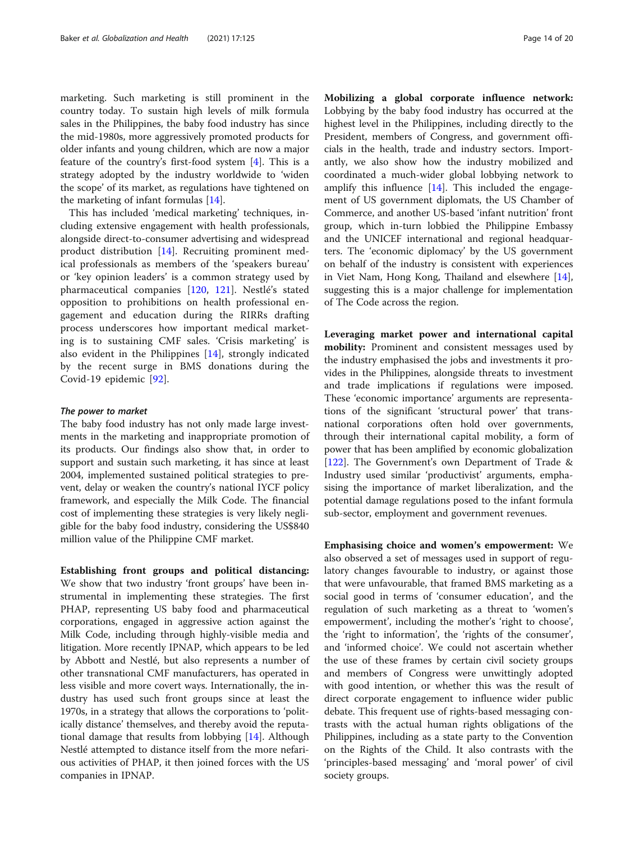marketing. Such marketing is still prominent in the country today. To sustain high levels of milk formula sales in the Philippines, the baby food industry has since the mid-1980s, more aggressively promoted products for older infants and young children, which are now a major feature of the country's first-food system [\[4](#page-16-0)]. This is a strategy adopted by the industry worldwide to 'widen the scope' of its market, as regulations have tightened on the marketing of infant formulas [[14](#page-16-0)].

This has included 'medical marketing' techniques, including extensive engagement with health professionals, alongside direct-to-consumer advertising and widespread product distribution [\[14](#page-16-0)]. Recruiting prominent medical professionals as members of the 'speakers bureau' or 'key opinion leaders' is a common strategy used by pharmaceutical companies [\[120](#page-18-0), [121\]](#page-19-0). Nestlé's stated opposition to prohibitions on health professional engagement and education during the RIRRs drafting process underscores how important medical marketing is to sustaining CMF sales. 'Crisis marketing' is also evident in the Philippines [[14](#page-16-0)], strongly indicated by the recent surge in BMS donations during the Covid-19 epidemic [[92\]](#page-18-0).

#### The power to market

The baby food industry has not only made large investments in the marketing and inappropriate promotion of its products. Our findings also show that, in order to support and sustain such marketing, it has since at least 2004, implemented sustained political strategies to prevent, delay or weaken the country's national IYCF policy framework, and especially the Milk Code. The financial cost of implementing these strategies is very likely negligible for the baby food industry, considering the US\$840 million value of the Philippine CMF market.

Establishing front groups and political distancing: We show that two industry 'front groups' have been instrumental in implementing these strategies. The first PHAP, representing US baby food and pharmaceutical corporations, engaged in aggressive action against the Milk Code, including through highly-visible media and litigation. More recently IPNAP, which appears to be led by Abbott and Nestlé, but also represents a number of other transnational CMF manufacturers, has operated in less visible and more covert ways. Internationally, the industry has used such front groups since at least the 1970s, in a strategy that allows the corporations to 'politically distance' themselves, and thereby avoid the reputational damage that results from lobbying [\[14](#page-16-0)]. Although Nestlé attempted to distance itself from the more nefarious activities of PHAP, it then joined forces with the US companies in IPNAP.

Mobilizing a global corporate influence network: Lobbying by the baby food industry has occurred at the highest level in the Philippines, including directly to the President, members of Congress, and government officials in the health, trade and industry sectors. Importantly, we also show how the industry mobilized and coordinated a much-wider global lobbying network to amplify this influence  $[14]$  $[14]$ . This included the engagement of US government diplomats, the US Chamber of Commerce, and another US-based 'infant nutrition' front group, which in-turn lobbied the Philippine Embassy and the UNICEF international and regional headquarters. The 'economic diplomacy' by the US government on behalf of the industry is consistent with experiences in Viet Nam, Hong Kong, Thailand and elsewhere [\[14](#page-16-0)], suggesting this is a major challenge for implementation of The Code across the region.

Leveraging market power and international capital mobility: Prominent and consistent messages used by the industry emphasised the jobs and investments it provides in the Philippines, alongside threats to investment and trade implications if regulations were imposed. These 'economic importance' arguments are representations of the significant 'structural power' that transnational corporations often hold over governments, through their international capital mobility, a form of power that has been amplified by economic globalization [[122\]](#page-19-0). The Government's own Department of Trade & Industry used similar 'productivist' arguments, emphasising the importance of market liberalization, and the potential damage regulations posed to the infant formula sub-sector, employment and government revenues.

Emphasising choice and women's empowerment: We also observed a set of messages used in support of regulatory changes favourable to industry, or against those that were unfavourable, that framed BMS marketing as a social good in terms of 'consumer education', and the regulation of such marketing as a threat to 'women's empowerment', including the mother's 'right to choose', the 'right to information', the 'rights of the consumer', and 'informed choice'. We could not ascertain whether the use of these frames by certain civil society groups and members of Congress were unwittingly adopted with good intention, or whether this was the result of direct corporate engagement to influence wider public debate. This frequent use of rights-based messaging contrasts with the actual human rights obligations of the Philippines, including as a state party to the Convention on the Rights of the Child. It also contrasts with the 'principles-based messaging' and 'moral power' of civil society groups.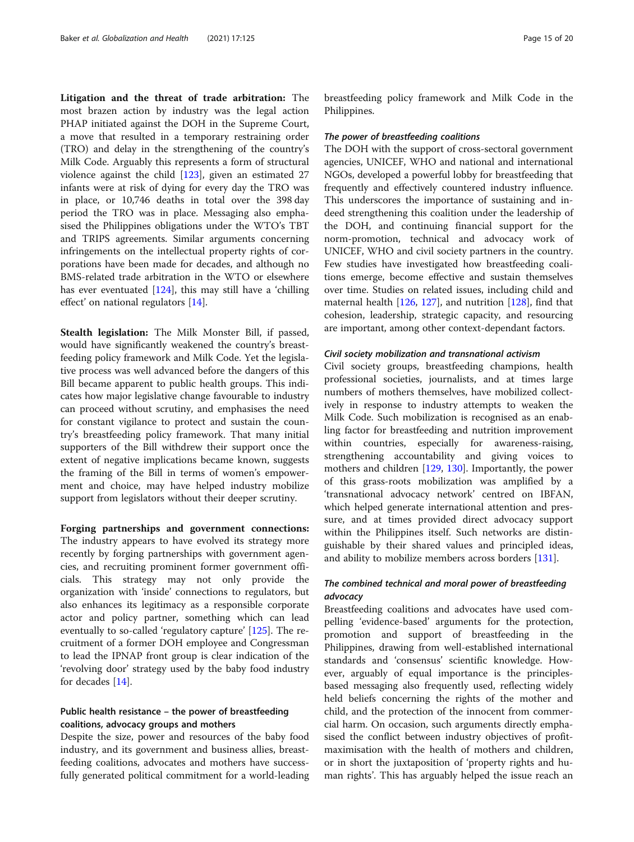Litigation and the threat of trade arbitration: The most brazen action by industry was the legal action PHAP initiated against the DOH in the Supreme Court, a move that resulted in a temporary restraining order (TRO) and delay in the strengthening of the country's Milk Code. Arguably this represents a form of structural violence against the child [\[123](#page-19-0)], given an estimated 27 infants were at risk of dying for every day the TRO was in place, or 10,746 deaths in total over the 398 day period the TRO was in place. Messaging also emphasised the Philippines obligations under the WTO's TBT and TRIPS agreements. Similar arguments concerning infringements on the intellectual property rights of corporations have been made for decades, and although no BMS-related trade arbitration in the WTO or elsewhere has ever eventuated [\[124\]](#page-19-0), this may still have a 'chilling effect' on national regulators [[14\]](#page-16-0).

Stealth legislation: The Milk Monster Bill, if passed, would have significantly weakened the country's breastfeeding policy framework and Milk Code. Yet the legislative process was well advanced before the dangers of this Bill became apparent to public health groups. This indicates how major legislative change favourable to industry can proceed without scrutiny, and emphasises the need for constant vigilance to protect and sustain the country's breastfeeding policy framework. That many initial supporters of the Bill withdrew their support once the extent of negative implications became known, suggests the framing of the Bill in terms of women's empowerment and choice, may have helped industry mobilize support from legislators without their deeper scrutiny.

Forging partnerships and government connections: The industry appears to have evolved its strategy more recently by forging partnerships with government agencies, and recruiting prominent former government officials. This strategy may not only provide the organization with 'inside' connections to regulators, but also enhances its legitimacy as a responsible corporate actor and policy partner, something which can lead eventually to so-called 'regulatory capture' [\[125](#page-19-0)]. The recruitment of a former DOH employee and Congressman to lead the IPNAP front group is clear indication of the 'revolving door' strategy used by the baby food industry for decades [\[14](#page-16-0)].

## Public health resistance – the power of breastfeeding coalitions, advocacy groups and mothers

Despite the size, power and resources of the baby food industry, and its government and business allies, breastfeeding coalitions, advocates and mothers have successfully generated political commitment for a world-leading breastfeeding policy framework and Milk Code in the Philippines.

#### The power of breastfeeding coalitions

The DOH with the support of cross-sectoral government agencies, UNICEF, WHO and national and international NGOs, developed a powerful lobby for breastfeeding that frequently and effectively countered industry influence. This underscores the importance of sustaining and indeed strengthening this coalition under the leadership of the DOH, and continuing financial support for the norm-promotion, technical and advocacy work of UNICEF, WHO and civil society partners in the country. Few studies have investigated how breastfeeding coalitions emerge, become effective and sustain themselves over time. Studies on related issues, including child and maternal health [[126](#page-19-0), [127](#page-19-0)], and nutrition [[128\]](#page-19-0), find that cohesion, leadership, strategic capacity, and resourcing are important, among other context-dependant factors.

## Civil society mobilization and transnational activism

Civil society groups, breastfeeding champions, health professional societies, journalists, and at times large numbers of mothers themselves, have mobilized collectively in response to industry attempts to weaken the Milk Code. Such mobilization is recognised as an enabling factor for breastfeeding and nutrition improvement within countries, especially for awareness-raising, strengthening accountability and giving voices to mothers and children [[129,](#page-19-0) [130\]](#page-19-0). Importantly, the power of this grass-roots mobilization was amplified by a 'transnational advocacy network' centred on IBFAN, which helped generate international attention and pressure, and at times provided direct advocacy support within the Philippines itself. Such networks are distinguishable by their shared values and principled ideas, and ability to mobilize members across borders [\[131\]](#page-19-0).

## The combined technical and moral power of breastfeeding advocacy

Breastfeeding coalitions and advocates have used compelling 'evidence-based' arguments for the protection, promotion and support of breastfeeding in the Philippines, drawing from well-established international standards and 'consensus' scientific knowledge. However, arguably of equal importance is the principlesbased messaging also frequently used, reflecting widely held beliefs concerning the rights of the mother and child, and the protection of the innocent from commercial harm. On occasion, such arguments directly emphasised the conflict between industry objectives of profitmaximisation with the health of mothers and children, or in short the juxtaposition of 'property rights and human rights'. This has arguably helped the issue reach an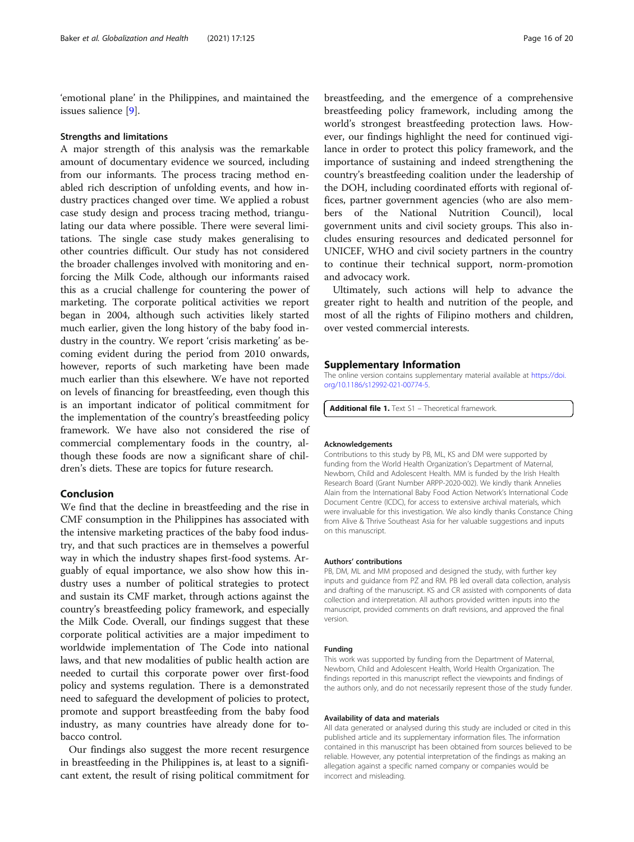<span id="page-15-0"></span>'emotional plane' in the Philippines, and maintained the issues salience [\[9](#page-16-0)].

#### Strengths and limitations

A major strength of this analysis was the remarkable amount of documentary evidence we sourced, including from our informants. The process tracing method enabled rich description of unfolding events, and how industry practices changed over time. We applied a robust case study design and process tracing method, triangulating our data where possible. There were several limitations. The single case study makes generalising to other countries difficult. Our study has not considered the broader challenges involved with monitoring and enforcing the Milk Code, although our informants raised this as a crucial challenge for countering the power of marketing. The corporate political activities we report began in 2004, although such activities likely started much earlier, given the long history of the baby food industry in the country. We report 'crisis marketing' as becoming evident during the period from 2010 onwards, however, reports of such marketing have been made much earlier than this elsewhere. We have not reported on levels of financing for breastfeeding, even though this is an important indicator of political commitment for the implementation of the country's breastfeeding policy framework. We have also not considered the rise of commercial complementary foods in the country, although these foods are now a significant share of children's diets. These are topics for future research.

### Conclusion

We find that the decline in breastfeeding and the rise in CMF consumption in the Philippines has associated with the intensive marketing practices of the baby food industry, and that such practices are in themselves a powerful way in which the industry shapes first-food systems. Arguably of equal importance, we also show how this industry uses a number of political strategies to protect and sustain its CMF market, through actions against the country's breastfeeding policy framework, and especially the Milk Code. Overall, our findings suggest that these corporate political activities are a major impediment to worldwide implementation of The Code into national laws, and that new modalities of public health action are needed to curtail this corporate power over first-food policy and systems regulation. There is a demonstrated need to safeguard the development of policies to protect, promote and support breastfeeding from the baby food industry, as many countries have already done for tobacco control.

Our findings also suggest the more recent resurgence in breastfeeding in the Philippines is, at least to a significant extent, the result of rising political commitment for

breastfeeding, and the emergence of a comprehensive breastfeeding policy framework, including among the world's strongest breastfeeding protection laws. However, our findings highlight the need for continued vigilance in order to protect this policy framework, and the importance of sustaining and indeed strengthening the country's breastfeeding coalition under the leadership of the DOH, including coordinated efforts with regional offices, partner government agencies (who are also members of the National Nutrition Council), local government units and civil society groups. This also includes ensuring resources and dedicated personnel for UNICEF, WHO and civil society partners in the country to continue their technical support, norm-promotion and advocacy work.

Ultimately, such actions will help to advance the greater right to health and nutrition of the people, and most of all the rights of Filipino mothers and children, over vested commercial interests.

## Supplementary Information

The online version contains supplementary material available at [https://doi.](https://doi.org/10.1186/s12992-021-00774-5) [org/10.1186/s12992-021-00774-5.](https://doi.org/10.1186/s12992-021-00774-5)

Additional file 1. Text S1 - Theoretical framework.

#### Acknowledgements

Contributions to this study by PB, ML, KS and DM were supported by funding from the World Health Organization's Department of Maternal, Newborn, Child and Adolescent Health. MM is funded by the Irish Health Research Board (Grant Number ARPP-2020-002). We kindly thank Annelies Alain from the International Baby Food Action Network's International Code Document Centre (ICDC), for access to extensive archival materials, which were invaluable for this investigation. We also kindly thanks Constance Ching from Alive & Thrive Southeast Asia for her valuable suggestions and inputs on this manuscript.

#### Authors' contributions

PB, DM, ML and MM proposed and designed the study, with further key inputs and guidance from PZ and RM. PB led overall data collection, analysis and drafting of the manuscript. KS and CR assisted with components of data collection and interpretation. All authors provided written inputs into the manuscript, provided comments on draft revisions, and approved the final version.

#### Funding

This work was supported by funding from the Department of Maternal, Newborn, Child and Adolescent Health, World Health Organization. The findings reported in this manuscript reflect the viewpoints and findings of the authors only, and do not necessarily represent those of the study funder.

#### Availability of data and materials

All data generated or analysed during this study are included or cited in this published article and its supplementary information files. The information contained in this manuscript has been obtained from sources believed to be reliable. However, any potential interpretation of the findings as making an allegation against a specific named company or companies would be incorrect and misleading.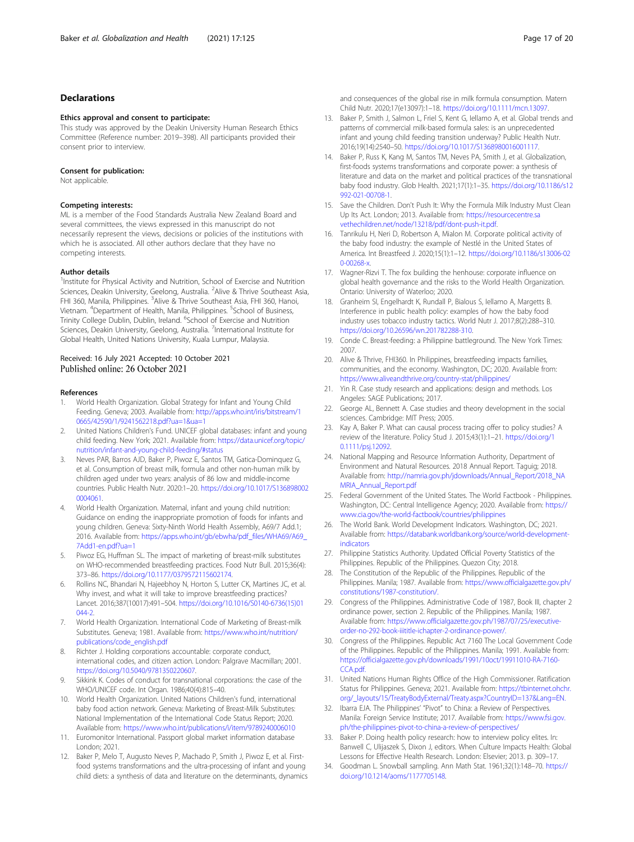## <span id="page-16-0"></span>Declarations

#### Ethics approval and consent to participate:

This study was approved by the Deakin University Human Research Ethics Committee (Reference number: 2019–398). All participants provided their consent prior to interview.

#### Consent for publication:

Not applicable.

#### Competing interests:

ML is a member of the Food Standards Australia New Zealand Board and several committees, the views expressed in this manuscript do not necessarily represent the views, decisions or policies of the institutions with which he is associated. All other authors declare that they have no competing interests.

#### Author details

<sup>1</sup>Institute for Physical Activity and Nutrition, School of Exercise and Nutrition Sciences, Deakin University, Geelong, Australia. <sup>2</sup>Alive & Thrive Southeast Asia, FHI 360, Manila, Philippines. <sup>3</sup>Alive & Thrive Southeast Asia, FHI 360, Hanoi, Vietnam. <sup>4</sup>Department of Health, Manila, Philippines. <sup>5</sup>School of Business, Trinity College Dublin, Dublin, Ireland. <sup>6</sup>School of Exercise and Nutrition Sciences, Deakin University, Geelong, Australia. <sup>7</sup>International Institute for Global Health, United Nations University, Kuala Lumpur, Malaysia.

## Received: 16 July 2021 Accepted: 10 October 2021

#### References

- 1. World Health Organization. Global Strategy for Infant and Young Child Feeding. Geneva; 2003. Available from: [http://apps.who.int/iris/bitstream/1](http://apps.who.int/iris/bitstream/10665/42590/1/9241562218.pdf?ua=1&ua=1) [0665/42590/1/9241562218.pdf?ua=1&ua=1](http://apps.who.int/iris/bitstream/10665/42590/1/9241562218.pdf?ua=1&ua=1)
- 2. United Nations Children's Fund. UNICEF global databases: infant and young child feeding. New York; 2021. Available from: [https://data.unicef.org/topic/](https://data.unicef.org/topic/nutrition/infant-and-young-child-feeding/#status) [nutrition/infant-and-young-child-feeding/#status](https://data.unicef.org/topic/nutrition/infant-and-young-child-feeding/#status)
- 3. Neves PAR, Barros AJD, Baker P, Piwoz E, Santos TM, Gatica-Dominquez G, et al. Consumption of breast milk, formula and other non-human milk by children aged under two years: analysis of 86 low and middle-income countries. Public Health Nutr. 2020:1–20. [https://doi.org/10.1017/S136898002](https://doi.org/10.1017/S1368980020004061) [0004061.](https://doi.org/10.1017/S1368980020004061)
- 4. World Health Organization. Maternal, infant and young child nutrition: Guidance on ending the inappropriate promotion of foods for infants and young children. Geneva: Sixty-Ninth World Health Assembly, A69/7 Add.1; 2016. Available from: [https://apps.who.int/gb/ebwha/pdf\\_files/WHA69/A69\\_](https://apps.who.int/gb/ebwha/pdf_files/WHA69/A69_7Add1-en.pdf?ua=1) [7Add1-en.pdf?ua=1](https://apps.who.int/gb/ebwha/pdf_files/WHA69/A69_7Add1-en.pdf?ua=1)
- 5. Piwoz EG, Huffman SL. The impact of marketing of breast-milk substitutes on WHO-recommended breastfeeding practices. Food Nutr Bull. 2015;36(4): 373–86. <https://doi.org/10.1177/0379572115602174>.
- 6. Rollins NC, Bhandari N, Hajeebhoy N, Horton S, Lutter CK, Martines JC, et al. Why invest, and what it will take to improve breastfeeding practices? Lancet. 2016;387(10017):491–504. [https://doi.org/10.1016/S0140-6736\(15\)01](https://doi.org/10.1016/S0140-6736(15)01044-2) [044-2](https://doi.org/10.1016/S0140-6736(15)01044-2).
- 7. World Health Organization. International Code of Marketing of Breast-milk Substitutes. Geneva; 1981. Available from: [https://www.who.int/nutrition/](https://www.who.int/nutrition/publications/code_english.pdf) [publications/code\\_english.pdf](https://www.who.int/nutrition/publications/code_english.pdf)
- Richter J. Holding corporations accountable: corporate conduct, international codes, and citizen action. London: Palgrave Macmillan; 2001. <https://doi.org/10.5040/9781350220607>.
- Sikkink K. Codes of conduct for transnational corporations: the case of the WHO/UNICEF code. Int Organ. 1986;40(4):815–40.
- 10. World Health Organization. United Nations Children's fund, international baby food action network. Geneva: Marketing of Breast-Milk Substitutes: National Implementation of the International Code Status Report; 2020. Available from: <https://www.who.int/publications/i/item/9789240006010>
- 11. Euromonitor International. Passport global market information database London; 2021.
- 12. Baker P, Melo T, Augusto Neves P, Machado P, Smith J, Piwoz E, et al. Firstfood systems transformations and the ultra-processing of infant and young child diets: a synthesis of data and literature on the determinants, dynamics

and consequences of the global rise in milk formula consumption. Matern Child Nutr. 2020;17(e13097):1–18. [https://doi.org/10.1111/mcn.13097.](https://doi.org/10.1111/mcn.13097)

- 13. Baker P, Smith J, Salmon L, Friel S, Kent G, Iellamo A, et al. Global trends and patterns of commercial milk-based formula sales: is an unprecedented infant and young child feeding transition underway? Public Health Nutr. 2016;19(14):2540–50. [https://doi.org/10.1017/S1368980016001117.](https://doi.org/10.1017/S1368980016001117)
- Baker P, Russ K, Kang M, Santos TM, Neves PA, Smith J, et al. Globalization, first-foods systems transformations and corporate power: a synthesis of literature and data on the market and political practices of the transnational baby food industry. Glob Health. 2021;17(1):1–35. [https://doi.org/10.1186/s12](https://doi.org/10.1186/s12992-021-00708-1) [992-021-00708-1.](https://doi.org/10.1186/s12992-021-00708-1)
- 15. Save the Children. Don't Push It: Why the Formula Milk Industry Must Clean Up Its Act. London; 2013. Available from: [https://resourcecentre.sa](https://www.resourcecentre.savethechildren.net/node/13218/pdf/dont-push-it.pdf) [vethechildren.net/node/13218/pdf/dont-push-it.pdf.](https://www.resourcecentre.savethechildren.net/node/13218/pdf/dont-push-it.pdf)
- 16. Tanrikulu H, Neri D, Robertson A, Mialon M. Corporate political activity of the baby food industry: the example of Nestlé in the United States of America. Int Breastfeed J. 2020;15(1):1–12. [https://doi.org/10.1186/s13006-02](https://doi.org/10.1186/s13006-020-00268-x) [0-00268-x](https://doi.org/10.1186/s13006-020-00268-x).
- 17. Wagner-Rizvi T. The fox building the henhouse: corporate influence on global health governance and the risks to the World Health Organization. Ontario: University of Waterloo; 2020.
- 18. Granheim SI, Engelhardt K, Rundall P, Bialous S, Iellamo A, Margetts B. Interference in public health policy: examples of how the baby food industry uses tobacco industry tactics. World Nutr J. 2017;8(2):288–310. <https://doi.org/10.26596/wn.201782288-310>.
- 19. Conde C. Breast-feeding: a Philippine battleground. The New York Times: 2007.
- 20. Alive & Thrive, FHI360. In Philippines, breastfeeding impacts families, communities, and the economy. Washington, DC; 2020. Available from: <https://www.aliveandthrive.org/country-stat/philippines/>
- 21. Yin R. Case study research and applications: design and methods. Los Angeles: SAGE Publications; 2017.
- 22. George AL, Bennett A. Case studies and theory development in the social sciences. Cambridge: MIT Press; 2005.
- 23. Kay A, Baker P. What can causal process tracing offer to policy studies? A review of the literature. Policy Stud J. 2015;43(1):1–21. [https://doi.org/1](https://doi.org/10.1111/psj.12092) [0.1111/psj.12092.](https://doi.org/10.1111/psj.12092)
- 24. National Mapping and Resource Information Authority, Department of Environment and Natural Resources. 2018 Annual Report. Taguig; 2018. Available from: [http://namria.gov.ph/jdownloads/Annual\\_Report/2018\\_NA](http://namria.gov.ph/jdownloads/Annual_Report/2018_NAMRIA_Annual_Report.pdf) [MRIA\\_Annual\\_Report.pdf](http://namria.gov.ph/jdownloads/Annual_Report/2018_NAMRIA_Annual_Report.pdf)
- 25. Federal Government of the United States. The World Factbook Philippines. Washington, DC: Central Intelligence Agency; 2020. Available from: [https://](https://www.cia.gov/the-world-factbook/countries/philippines) [www.cia.gov/the-world-factbook/countries/philippines](https://www.cia.gov/the-world-factbook/countries/philippines)
- 26. The World Bank. World Development Indicators. Washington, DC; 2021. Available from: [https://databank.worldbank.org/source/world-development](https://databank.worldbank.org/source/world-development-indicators)[indicators](https://databank.worldbank.org/source/world-development-indicators)
- 27. Philippine Statistics Authority. Updated Official Poverty Statistics of the Philippines. Republic of the Philippines. Quezon City; 2018.
- 28. The Constitution of the Republic of the Philippines. Republic of the Philippines. Manila; 1987. Available from: [https://www.officialgazette.gov.ph/](https://www.officialgazette.gov.ph/constitutions/1987-constitution/) [constitutions/1987-constitution/.](https://www.officialgazette.gov.ph/constitutions/1987-constitution/)
- 29. Congress of the Philippines. Administrative Code of 1987, Book III, chapter 2 ordinance power, section 2. Republic of the Philippines. Manila; 1987. Available from: [https://www.officialgazette.gov.ph/1987/07/25/executive](https://www.officialgazette.gov.ph/1987/07/25/executive-order-no-292-book-iiititle-ichapter-2-ordinance-power/)[order-no-292-book-iiititle-ichapter-2-ordinance-power/.](https://www.officialgazette.gov.ph/1987/07/25/executive-order-no-292-book-iiititle-ichapter-2-ordinance-power/)
- 30. Congress of the Philippines. Republic Act 7160 The Local Government Code of the Philippines. Republic of the Philippines. Manila; 1991. Available from: [https://officialgazette.gov.ph/downloads/1991/10oct/19911010-RA-7160-](https://officialgazette.gov.ph/downloads/1991/10oct/19911010-RA-7160-CCA.pdf) CCA ndf
- 31. United Nations Human Rights Office of the High Commissioner. Ratification Status for Philippines. Geneva; 2021. Available from: [https://tbinternet.ohchr.](https://tbinternet.ohchr.org/_layouts/15/TreatyBodyExternal/Treaty.aspx?CountryID=137&Lang=EN) [org/\\_layouts/15/TreatyBodyExternal/Treaty.aspx?CountryID=137&Lang=EN.](https://tbinternet.ohchr.org/_layouts/15/TreatyBodyExternal/Treaty.aspx?CountryID=137&Lang=EN)
- 32. Ibarra EJA. The Philippines' "Pivot" to China: a Review of Perspectives. Manila: Foreign Service Institute; 2017. Available from: [https://www.fsi.gov.](https://www.fsi.gov.ph/the-philippines-pivot-to-china-a-review-of-perspectives/) [ph/the-philippines-pivot-to-china-a-review-of-perspectives/](https://www.fsi.gov.ph/the-philippines-pivot-to-china-a-review-of-perspectives/)
- 33. Baker P. Doing health policy research: how to interview policy elites. In: Banwell C, Ulijaszek S, Dixon J, editors. When Culture Impacts Health: Global Lessons for Effective Health Research. London: Elsevier; 2013. p. 309–17.
- 34. Goodman L. Snowball sampling. Ann Math Stat. 1961;32(1):148–70. [https://](https://doi.org/10.1214/aoms/1177705148) [doi.org/10.1214/aoms/1177705148](https://doi.org/10.1214/aoms/1177705148).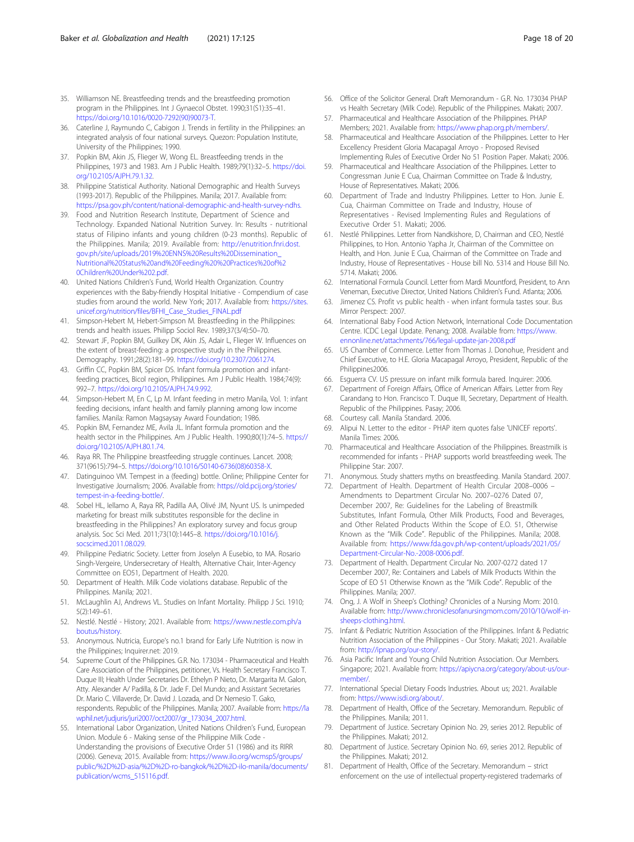- <span id="page-17-0"></span>35. Williamson NE. Breastfeeding trends and the breastfeeding promotion program in the Philippines. Int J Gynaecol Obstet. 1990;31(S1):35–41. [https://doi.org/10.1016/0020-7292\(90\)90073-T](https://doi.org/10.1016/0020-7292(90)90073-T).
- 36. Caterline J, Raymundo C, Cabigon J. Trends in fertility in the Philippines: an integrated analysis of four national surveys. Quezon: Population Institute, University of the Philippines; 1990.
- 37. Popkin BM, Akin JS, Flieger W, Wong EL. Breastfeeding trends in the Philippines, 1973 and 1983. Am J Public Health. 1989;79(1):32–5. [https://doi.](https://doi.org/10.2105/AJPH.79.1.32) [org/10.2105/AJPH.79.1.32](https://doi.org/10.2105/AJPH.79.1.32).
- 38. Philippine Statistical Authority. National Demographic and Health Surveys (1993-2017). Republic of the Philippines. Manila; 2017. Available from: [https://psa.gov.ph/content/national-demographic-and-health-survey-ndhs.](https://psa.gov.ph/content/national-demographic-and-health-survey-ndhs)
- 39. Food and Nutrition Research Institute, Department of Science and Technology. Expanded National Nutrition Survey. In: Results - nutritional status of Filipino infants and young children (0-23 months). Republic of the Philippines. Manila; 2019. Available from: [http://enutrition.fnri.dost.](http://enutrition.fnri.dost.gov.ph/site/uploads/2019%20ENNS%20Results%20Dissemination_Nutritional%20Status%20and%20Feeding%20%20Practices%20of%20Children%20Under%202.pdf) [gov.ph/site/uploads/2019%20ENNS%20Results%20Dissemination\\_](http://enutrition.fnri.dost.gov.ph/site/uploads/2019%20ENNS%20Results%20Dissemination_Nutritional%20Status%20and%20Feeding%20%20Practices%20of%20Children%20Under%202.pdf) [Nutritional%20Status%20and%20Feeding%20%20Practices%20of%2](http://enutrition.fnri.dost.gov.ph/site/uploads/2019%20ENNS%20Results%20Dissemination_Nutritional%20Status%20and%20Feeding%20%20Practices%20of%20Children%20Under%202.pdf) [0Children%20Under%202.pdf](http://enutrition.fnri.dost.gov.ph/site/uploads/2019%20ENNS%20Results%20Dissemination_Nutritional%20Status%20and%20Feeding%20%20Practices%20of%20Children%20Under%202.pdf).
- 40. United Nations Children's Fund, World Health Organization. Country experiences with the Baby-friendly Hospital Initiative - Compendium of case studies from around the world. New York; 2017. Available from: [https://sites.](https://sites.unicef.org/nutrition/files/BFHI_Case_Studies_FINAL.pdf) [unicef.org/nutrition/files/BFHI\\_Case\\_Studies\\_FINAL.pdf](https://sites.unicef.org/nutrition/files/BFHI_Case_Studies_FINAL.pdf)
- 41. Simpson-Hebert M, Hebert-Simpson M. Breastfeeding in the Philippines: trends and health issues. Philipp Sociol Rev. 1989;37(3/4):50–70.
- 42. Stewart JF, Popkin BM, Guilkey DK, Akin JS, Adair L, Flieger W. Influences on the extent of breast-feeding: a prospective study in the Philippines. Demography. 1991;28(2):181–99. <https://doi.org/10.2307/2061274>.
- 43. Griffin CC, Popkin BM, Spicer DS. Infant formula promotion and infantfeeding practices, Bicol region, Philippines. Am J Public Health. 1984;74(9): 992–7. <https://doi.org/10.2105/AJPH.74.9.992>.
- 44. Simpson-Hebert M, En C, Lp M. Infant feeding in metro Manila, Vol. 1: infant feeding decisions, infant health and family planning among low income families. Manila: Ramon Magsaysay Award Foundation; 1986.
- 45. Popkin BM, Fernandez ME, Avila JL. Infant formula promotion and the health sector in the Philippines. Am J Public Health. 1990;80(1):74-5. [https://](https://doi.org/10.2105/AJPH.80.1.74) [doi.org/10.2105/AJPH.80.1.74.](https://doi.org/10.2105/AJPH.80.1.74)
- 46. Raya RR. The Philippine breastfeeding struggle continues. Lancet. 2008; 371(9615):794–5. [https://doi.org/10.1016/S0140-6736\(08\)60358-X](https://doi.org/10.1016/S0140-6736(08)60358-X).
- 47. Datinguinoo VM. Tempest in a (feeding) bottle. Online; Philippine Center for Investigative Journalism; 2006. Available from: [https://old.pcij.org/stories/](https://old.pcij.org/stories/tempest-in-a-feeding-bottle/) [tempest-in-a-feeding-bottle/.](https://old.pcij.org/stories/tempest-in-a-feeding-bottle/)
- 48. Sobel HL, Iellamo A, Raya RR, Padilla AA, Olivé JM, Nyunt US. Is unimpeded marketing for breast milk substitutes responsible for the decline in breastfeeding in the Philippines? An exploratory survey and focus group analysis. Soc Sci Med. 2011;73(10):1445–8. [https://doi.org/10.1016/j.](https://doi.org/10.1016/j.socscimed.2011.08.029) [socscimed.2011.08.029.](https://doi.org/10.1016/j.socscimed.2011.08.029)
- 49. Philippine Pediatric Society. Letter from Joselyn A Eusebio, to MA. Rosario Singh-Vergeire, Undersecretary of Health, Alternative Chair, Inter-Agency Committee on EO51, Department of Health. 2020.
- 50. Department of Health. Milk Code violations database. Republic of the Philippines. Manila; 2021.
- 51. McLaughlin AJ, Andrews VL. Studies on Infant Mortality. Philipp J Sci. 1910; 5(2):149–61.
- 52. Nestlé. Nestlé History; 2021. Available from: [https://www.nestle.com.ph/a](https://www.nestle.com.ph/aboutus/history) [boutus/history.](https://www.nestle.com.ph/aboutus/history)
- 53. Anonymous. Nutricia, Europe's no.1 brand for Early Life Nutrition is now in the Philippines; Inquirer.net: 2019.
- 54. Supreme Court of the Philippines. G.R. No. 173034 Pharmaceutical and Health Care Association of the Philippines, petitioner, Vs. Health Secretary Francisco T. Duque III; Health Under Secretaries Dr. Ethelyn P Nieto, Dr. Margarita M. Galon, Atty. Alexander A/ Padilla, & Dr. Jade F. Del Mundo; and Assistant Secretaries Dr. Mario C. Villaverde, Dr. David J. Lozada, and Dr Nemesio T. Gako, respondents. Republic of the Philippines. Manila; 2007. Available from: [https://la](https://lawphil.net/judjuris/juri2007/oct2007/gr_173034_2007.html) [wphil.net/judjuris/juri2007/oct2007/gr\\_173034\\_2007.html.](https://lawphil.net/judjuris/juri2007/oct2007/gr_173034_2007.html)
- 55. International Labor Organization, United Nations Children's Fund, European Union. Module 6 - Making sense of the Philippine Milk Code - Understanding the provisions of Executive Order 51 (1986) and its RIRR (2006). Geneva; 2015. Available from: [https://www.ilo.org/wcmsp5/groups/](https://www.ilo.org/wcmsp5/groups/public/%2D%2D-asia/%2D%2D-ro-bangkok/%2D%2D-ilo-manila/documents/publication/wcms_515116.pdf) [public/%2D%2D-asia/%2D%2D-ro-bangkok/%2D%2D-ilo-manila/documents/](https://www.ilo.org/wcmsp5/groups/public/%2D%2D-asia/%2D%2D-ro-bangkok/%2D%2D-ilo-manila/documents/publication/wcms_515116.pdf) [publication/wcms\\_515116.pdf](https://www.ilo.org/wcmsp5/groups/public/%2D%2D-asia/%2D%2D-ro-bangkok/%2D%2D-ilo-manila/documents/publication/wcms_515116.pdf).
- 56. Office of the Solicitor General. Draft Memorandum G.R. No. 173034 PHAP vs Health Secretary (Milk Code). Republic of the Philippines. Makati; 2007.
- 57. Pharmaceutical and Healthcare Association of the Philippines. PHAP Members; 2021. Available from: <https://www.phap.org.ph/members/>.
- 58. Pharmaceutical and Healthcare Association of the Philippines. Letter to Her Excellency President Gloria Macapagal Arroyo - Proposed Revised Implementing Rules of Executive Order No 51 Position Paper. Makati; 2006.
- 59. Pharmaceutical and Healthcare Association of the Philippines. Letter to Congressman Junie E Cua, Chairman Committee on Trade & Industry, House of Representatives. Makati; 2006.
- 60. Department of Trade and Industry Philippines. Letter to Hon. Junie E. Cua, Chairman Committee on Trade and Industry, House of Representatives - Revised Implementing Rules and Regulations of Executive Order 51. Makati; 2006.
- 61. Nestlé Philippines. Letter from Nandkishore, D, Chairman and CEO, Nestlé Philippines, to Hon. Antonio Yapha Jr, Chairman of the Committee on Health, and Hon. Junie E Cua, Chairman of the Committee on Trade and Industry, House of Representatives - House bill No. 5314 and House Bill No. 5714. Makati; 2006.
- 62. International Formula Council. Letter from Mardi Mountford, President, to Ann Veneman, Executive Director, United Nations Children's Fund. Atlanta; 2006.
- 63. Jimenez CS. Profit vs public health when infant formula tastes sour. Bus Mirror Perspect: 2007.
- 64. International Baby Food Action Network, International Code Documentation Centre. ICDC Legal Update. Penang; 2008. Available from: [https://www.](https://www.ennonline.net/attachments/766/legal-update-jan-2008.pdf) [ennonline.net/attachments/766/legal-update-jan-2008.pdf](https://www.ennonline.net/attachments/766/legal-update-jan-2008.pdf)
- 65. US Chamber of Commerce. Letter from Thomas J. Donohue, President and Chief Executive, to H.E. Gloria Macapagal Arroyo, President, Republic of the Philippines2006.
- 66. Esguerra CV. US pressure on infant milk formula bared. Inquirer: 2006.
- 67. Department of Foreign Affairs, Office of American Affairs. Letter from Rey Carandang to Hon. Francisco T. Duque III, Secretary, Department of Health. Republic of the Philippines. Pasay; 2006.
- 68. Courtesy call. Manila Standard. 2006.
- 69. Alipui N. Letter to the editor PHAP item quotes false 'UNICEF reports'. Manila Times: 2006.
- 70. Pharmaceutical and Healthcare Association of the Philippines. Breastmilk is recommended for infants - PHAP supports world breastfeeding week. The Philippine Star: 2007.
- 71. Anonymous. Study shatters myths on breastfeeding. Manila Standard. 2007.
- 72. Department of Health. Department of Health Circular 2008–0006 Amendments to Department Circular No. 2007–0276 Dated 07, December 2007, Re: Guidelines for the Labeling of Breastmilk Substitutes, Infant Formula, Other Milk Products, Food and Beverages, and Other Related Products Within the Scope of E.O. 51, Otherwise Known as the "Milk Code". Republic of the Philippines. Manila; 2008. Available from: [https://www.fda.gov.ph/wp-content/uploads/2021/05/](https://www.fda.gov.ph/wp-content/uploads/2021/05/Department-Circular-No.-2008-0006.pdf) [Department-Circular-No.-2008-0006.pdf](https://www.fda.gov.ph/wp-content/uploads/2021/05/Department-Circular-No.-2008-0006.pdf).
- 73. Department of Health. Department Circular No. 2007-0272 dated 17 December 2007, Re: Containers and Labels of Milk Products Within the Scope of EO 51 Otherwise Known as the "Milk Code". Republic of the Philippines. Manila; 2007.
- 74. Ong, J. A Wolf in Sheep's Clothing? Chronicles of a Nursing Mom: 2010. Available from: [http://www.chroniclesofanursingmom.com/2010/10/wolf-in](http://www.chroniclesofanursingmom.com/2010/10/wolf-in-sheeps-clothing.html)[sheeps-clothing.html](http://www.chroniclesofanursingmom.com/2010/10/wolf-in-sheeps-clothing.html).
- 75. Infant & Pediatric Nutrition Association of the Philippines. Infant & Pediatric Nutrition Association of the Philippines - Our Story. Makati; 2021. Available from: [http://ipnap.org/our-story/.](http://ipnap.org/our-story/)
- 76. Asia Pacific Infant and Young Child Nutrition Association. Our Members. Singapore; 2021. Available from: [https://apiycna.org/category/about-us/our](https://apiycna.org/category/about-us/our-member/)[member/.](https://apiycna.org/category/about-us/our-member/)
- 77. International Special Dietary Foods Industries. About us; 2021. Available from: [https://www.isdi.org/about/.](https://www.isdi.org/about/)
- 78. Department of Health, Office of the Secretary. Memorandum. Republic of the Philippines. Manila; 2011.
- 79. Department of Justice. Secretary Opinion No. 29, series 2012. Republic of the Philippines. Makati; 2012.
- 80. Department of Justice. Secretary Opinion No. 69, series 2012. Republic of the Philippines. Makati; 2012.
- 81. Department of Health, Office of the Secretary. Memorandum strict enforcement on the use of intellectual property-registered trademarks of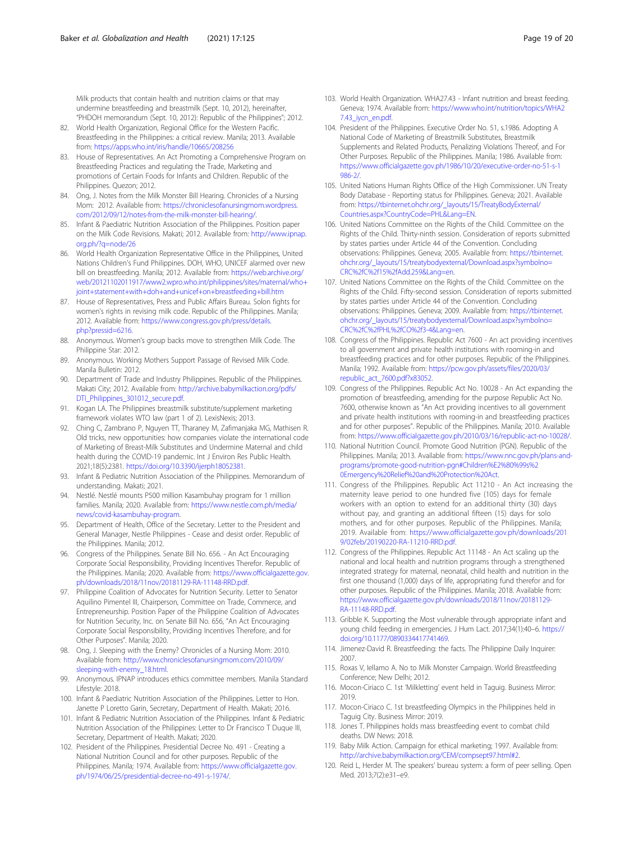<span id="page-18-0"></span>Milk products that contain health and nutrition claims or that may undermine breastfeeding and breastmilk (Sept. 10, 2012), hereinafter, "PHDOH memorandum (Sept. 10, 2012): Republic of the Philippines"; 2012.

- 82. World Health Organization, Regional Office for the Western Pacific. Breastfeeding in the Philippines: a critical review. Manila; 2013. Available from: <https://apps.who.int/iris/handle/10665/208256>
- 83. House of Representatives. An Act Promoting a Comprehensive Program on Breastfeeding Practices and regulating the Trade, Marketing and promotions of Certain Foods for Infants and Children. Republic of the Philippines. Quezon; 2012.
- 84. Ong, J. Notes from the Milk Monster Bill Hearing. Chronicles of a Nursing Mom: 2012. Available from: [https://chroniclesofanursingmom.wordpress.](https://chroniclesofanursingmom.wordpress.com/2012/09/12/notes-from-the-milk-monster-bill-hearing/) [com/2012/09/12/notes-from-the-milk-monster-bill-hearing/](https://chroniclesofanursingmom.wordpress.com/2012/09/12/notes-from-the-milk-monster-bill-hearing/).
- 85. Infant & Paediatric Nutrition Association of the Philippines. Position paper on the Milk Code Revisions. Makati; 2012. Available from: [http://www.ipnap.](http://www.ipnap.org.ph/?q=node/26) [org.ph/?q=node/26](http://www.ipnap.org.ph/?q=node/26)
- 86. World Health Organization Representative Office in the Philippines, United Nations Children's Fund Philippines. DOH, WHO, UNICEF alarmed over new bill on breastfeeding. Manila; 2012. Available from: [https://web.archive.org/](https://web.archive.org/web/20121102011917/www2.wpro.who.int/philippines/sites/maternal/who+joint+statement+with+doh+and+unicef+on+breastfeeding+bill.htm) [web/20121102011917/www2.wpro.who.int/philippines/sites/maternal/who+](https://web.archive.org/web/20121102011917/www2.wpro.who.int/philippines/sites/maternal/who+joint+statement+with+doh+and+unicef+on+breastfeeding+bill.htm) [joint+statement+with+doh+and+unicef+on+breastfeeding+bill.htm](https://web.archive.org/web/20121102011917/www2.wpro.who.int/philippines/sites/maternal/who+joint+statement+with+doh+and+unicef+on+breastfeeding+bill.htm)
- 87. House of Representatives, Press and Public Affairs Bureau. Solon fights for women's rights in revising milk code. Republic of the Philippines. Manila; 2012. Available from: [https://www.congress.gov.ph/press/details.](https://www.congress.gov.ph/press/details.php?pressid=6216) [php?pressid=6216.](https://www.congress.gov.ph/press/details.php?pressid=6216)
- 88. Anonymous. Women's group backs move to strengthen Milk Code. The Philippine Star: 2012.
- 89. Anonymous. Working Mothers Support Passage of Revised Milk Code. Manila Bulletin: 2012.
- 90. Department of Trade and Industry Philippines. Republic of the Philippines. Makati City; 2012. Available from: [http://archive.babymilkaction.org/pdfs/](http://archive.babymilkaction.org/pdfs/DTI_Philippines_301012_secure.pdf) [DTI\\_Philippines\\_301012\\_secure.pdf](http://archive.babymilkaction.org/pdfs/DTI_Philippines_301012_secure.pdf).
- 91. Kogan LA. The Philippines breastmilk substitute/supplement marketing framework violates WTO law (part 1 of 2). LexisNexis; 2013.
- 92. Ching C, Zambrano P, Nguyen TT, Tharaney M, Zafimanjaka MG, Mathisen R. Old tricks, new opportunities: how companies violate the international code of Marketing of Breast-Milk Substitutes and Undermine Maternal and child health during the COVID-19 pandemic. Int J Environ Res Public Health. 2021;18(5):2381. <https://doi.org/10.3390/ijerph18052381>.
- 93. Infant & Pediatric Nutrition Association of the Philippines. Memorandum of understanding. Makati; 2021.
- 94. Nestlé. Nestlé mounts P500 million Kasambuhay program for 1 million families. Manila; 2020. Available from: [https://www.nestle.com.ph/media/](https://www.nestle.com.ph/media/news/covid-kasambuhay-program) [news/covid-kasambuhay-program.](https://www.nestle.com.ph/media/news/covid-kasambuhay-program)
- 95. Department of Health, Office of the Secretary. Letter to the President and General Manager, Nestle Philippines - Cease and desist order. Republic of the Philippines. Manila; 2012.
- 96. Congress of the Philippines. Senate Bill No. 656. An Act Encouraging Corporate Social Responsibility, Providing Incentives Therefor. Republic of the Philippines. Manila; 2020. Available from: [https://www.officialgazette.gov.](https://www.officialgazette.gov.ph/downloads/2018/11nov/20181129-RA-11148-RRD.pdf) [ph/downloads/2018/11nov/20181129-RA-11148-RRD.pdf.](https://www.officialgazette.gov.ph/downloads/2018/11nov/20181129-RA-11148-RRD.pdf)
- 97. Philippine Coalition of Advocates for Nutrition Security. Letter to Senator Aquilino Pimentel III, Chairperson, Committee on Trade, Commerce, and Entrepreneurship. Position Paper of the Philippine Coalition of Advocates for Nutrition Security, Inc. on Senate Bill No. 656, "An Act Encouraging Corporate Social Responsibility, Providing Incentives Therefore, and for Other Purposes". Manila; 2020.
- 98. Ong, J. Sleeping with the Enemy? Chronicles of a Nursing Mom: 2010. Available from: [http://www.chroniclesofanursingmom.com/2010/09/](http://www.chroniclesofanursingmom.com/2010/09/sleeping-with-enemy_18.html) [sleeping-with-enemy\\_18.html.](http://www.chroniclesofanursingmom.com/2010/09/sleeping-with-enemy_18.html)
- 99. Anonymous. IPNAP introduces ethics committee members. Manila Standard Lifestyle: 2018.
- 100. Infant & Paediatric Nutrition Association of the Philippines. Letter to Hon. Janette P Loretto Garin, Secretary, Department of Health. Makati; 2016.
- 101. Infant & Pediatric Nutrition Association of the Philippines. Infant & Pediatric Nutrition Association of the Philippines: Letter to Dr Francisco T Duque III, Secretary, Department of Health. Makati; 2020.
- 102. President of the Philippines. Presidential Decree No. 491 Creating a National Nutrition Council and for other purposes. Republic of the Philippines. Manila; 1974. Available from: [https://www.officialgazette.gov.](https://www.officialgazette.gov.ph/1974/06/25/presidential-decree-no-491-s-1974/) [ph/1974/06/25/presidential-decree-no-491-s-1974/](https://www.officialgazette.gov.ph/1974/06/25/presidential-decree-no-491-s-1974/).
- 103. World Health Organization. WHA27.43 Infant nutrition and breast feeding. Geneva; 1974. Available from: [https://www.who.int/nutrition/topics/WHA2](https://www.who.int/nutrition/topics/WHA27.43_iycn_en.pdf) [7.43\\_iycn\\_en.pdf.](https://www.who.int/nutrition/topics/WHA27.43_iycn_en.pdf)
- 104. President of the Philippines. Executive Order No. 51, s.1986. Adopting A National Code of Marketing of Breastmilk Substitutes, Breastmilk Supplements and Related Products, Penalizing Violations Thereof, and For Other Purposes. Republic of the Philippines. Manila; 1986. Available from: [https://www.officialgazette.gov.ph/1986/10/20/executive-order-no-51-s-1](https://www.officialgazette.gov.ph/1986/10/20/executive-order-no-51-s-1986-2/) [986-2/.](https://www.officialgazette.gov.ph/1986/10/20/executive-order-no-51-s-1986-2/)
- 105. United Nations Human Rights Office of the High Commissioner. UN Treaty Body Database - Reporting status for Philippines. Geneva; 2021. Available from: [https://tbinternet.ohchr.org/\\_layouts/15/TreatyBodyExternal/](https://tbinternet.ohchr.org/_layouts/15/TreatyBodyExternal/Countries.aspx?CountryCode=PHL&Lang=EN) [Countries.aspx?CountryCode=PHL&Lang=EN](https://tbinternet.ohchr.org/_layouts/15/TreatyBodyExternal/Countries.aspx?CountryCode=PHL&Lang=EN).
- 106. United Nations Committee on the Rights of the Child. Committee on the Rights of the Child. Thirty-ninth session. Consideration of reports submitted by states parties under Article 44 of the Convention. Concluding observations: Philippines. Geneva; 2005. Available from: [https://tbinternet.](https://tbinternet.ohchr.org/_layouts/15/treatybodyexternal/Download.aspx?symbolno=CRC%2fC%2f15%2fAdd.259&Lang=en) [ohchr.org/\\_layouts/15/treatybodyexternal/Download.aspx?symbolno=](https://tbinternet.ohchr.org/_layouts/15/treatybodyexternal/Download.aspx?symbolno=CRC%2fC%2f15%2fAdd.259&Lang=en) [CRC%2fC%2f15%2fAdd.259&Lang=en](https://tbinternet.ohchr.org/_layouts/15/treatybodyexternal/Download.aspx?symbolno=CRC%2fC%2f15%2fAdd.259&Lang=en).
- 107. United Nations Committee on the Rights of the Child. Committee on the Rights of the Child. Fifty-second session. Consideration of reports submitted by states parties under Article 44 of the Convention. Concluding observations: Philippines. Geneva; 2009. Available from: [https://tbinternet.](https://tbinternet.ohchr.org/_layouts/15/treatybodyexternal/Download.aspx?symbolno=CRC%2fC%2fPHL%2fCO%2f3-4&Lang=en) [ohchr.org/\\_layouts/15/treatybodyexternal/Download.aspx?symbolno=](https://tbinternet.ohchr.org/_layouts/15/treatybodyexternal/Download.aspx?symbolno=CRC%2fC%2fPHL%2fCO%2f3-4&Lang=en) [CRC%2fC%2fPHL%2fCO%2f3-4&Lang=en](https://tbinternet.ohchr.org/_layouts/15/treatybodyexternal/Download.aspx?symbolno=CRC%2fC%2fPHL%2fCO%2f3-4&Lang=en).
- 108. Congress of the Philippines. Republic Act 7600 An act providing incentives to all government and private health institutions with rooming-in and breastfeeding practices and for other purposes. Republic of the Philippines. Manila; 1992. Available from: [https://pcw.gov.ph/assets/files/2020/03/](https://pcw.gov.ph/assets/files/2020/03/republic_act_7600.pdf?x83052) [republic\\_act\\_7600.pdf?x83052](https://pcw.gov.ph/assets/files/2020/03/republic_act_7600.pdf?x83052).
- 109. Congress of the Philippines. Republic Act No. 10028 An Act expanding the promotion of breastfeeding, amending for the purpose Republic Act No. 7600, otherwise known as "An Act providing incentives to all government and private health institutions with rooming-in and breastfeeding practices and for other purposes". Republic of the Philippines. Manila; 2010. Available from: [https://www.officialgazette.gov.ph/2010/03/16/republic-act-no-10028/.](https://www.officialgazette.gov.ph/2010/03/16/republic-act-no-10028/)
- 110. National Nutrition Council. Promote Good Nutrition (PGN). Republic of the Philippines. Manila; 2013. Available from: [https://www.nnc.gov.ph/plans-and](https://www.nnc.gov.ph/plans-and-programs/promote-good-nutrition-pgn#Children%E2%80%99s%20Emergency%20Relief%20and%20Protection%20Act)[programs/promote-good-nutrition-pgn#Children%E2%80%99s%2](https://www.nnc.gov.ph/plans-and-programs/promote-good-nutrition-pgn#Children%E2%80%99s%20Emergency%20Relief%20and%20Protection%20Act) [0Emergency%20Relief%20and%20Protection%20Act.](https://www.nnc.gov.ph/plans-and-programs/promote-good-nutrition-pgn#Children%E2%80%99s%20Emergency%20Relief%20and%20Protection%20Act)
- 111. Congress of the Philippines. Republic Act 11210 An Act increasing the maternity leave period to one hundred five (105) days for female workers with an option to extend for an additional thirty (30) days without pay, and granting an additional fifteen (15) days for solo mothers, and for other purposes. Republic of the Philippines. Manila; 2019. Available from: [https://www.officialgazette.gov.ph/downloads/201](https://www.officialgazette.gov.ph/downloads/2019/02feb/20190220-RA-11210-RRD.pdf) [9/02feb/20190220-RA-11210-RRD.pdf.](https://www.officialgazette.gov.ph/downloads/2019/02feb/20190220-RA-11210-RRD.pdf)
- 112. Congress of the Philippines. Republic Act 11148 An Act scaling up the national and local health and nutrition programs through a strengthened integrated strategy for maternal, neonatal, child health and nutrition in the first one thousand (1,000) days of life, appropriating fund therefor and for other purposes. Republic of the Philippines. Manila; 2018. Available from: [https://www.officialgazette.gov.ph/downloads/2018/11nov/20181129-](https://www.officialgazette.gov.ph/downloads/2018/11nov/20181129-RA-11148-RRD.pdf) [RA-11148-RRD.pdf](https://www.officialgazette.gov.ph/downloads/2018/11nov/20181129-RA-11148-RRD.pdf).
- 113. Gribble K. Supporting the Most vulnerable through appropriate infant and young child feeding in emergencies. J Hum Lact. 2017;34(1):40–6. [https://](https://doi.org/10.1177/0890334417741469) [doi.org/10.1177/0890334417741469.](https://doi.org/10.1177/0890334417741469)
- 114. Jimenez-David R. Breastfeeding: the facts. The Philippine Daily Inquirer: 2007.
- 115. Roxas V, Iellamo A. No to Milk Monster Campaign. World Breastfeeding Conference; New Delhi; 2012.
- 116. Mocon-Ciriaco C. 1st 'Milkletting' event held in Taguig. Business Mirror: 2019.
- 117. Mocon-Ciriaco C. 1st breastfeeding Olympics in the Philippines held in Taguig City. Business Mirror: 2019.
- 118. Jones T. Philippines holds mass breastfeeding event to combat child deaths. DW News: 2018.
- 119. Baby Milk Action. Campaign for ethical marketing; 1997. Available from: <http://archive.babymilkaction.org/CEM/compsept97.html#2>.
- 120. Reid L, Herder M. The speakers' bureau system: a form of peer selling. Open Med. 2013;7(2):e31–e9.